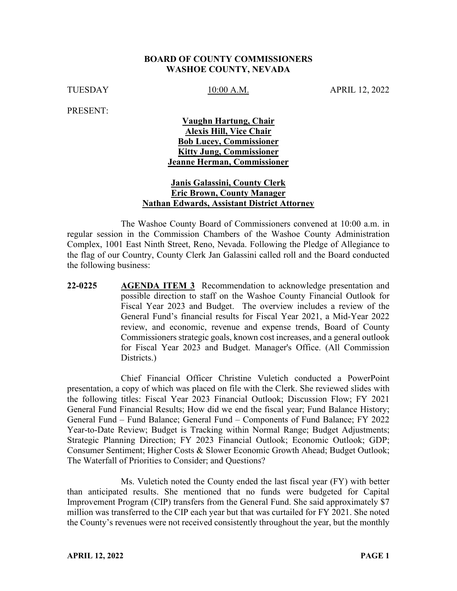#### **BOARD OF COUNTY COMMISSIONERS WASHOE COUNTY, NEVADA**

TUESDAY 10:00 A.M. APRIL 12, 2022

PRESENT:

# **Vaughn Hartung, Chair Alexis Hill, Vice Chair Bob Lucey, Commissioner Kitty Jung, Commissioner Jeanne Herman, Commissioner**

### **Janis Galassini, County Clerk Eric Brown, County Manager Nathan Edwards, Assistant District Attorney**

The Washoe County Board of Commissioners convened at 10:00 a.m. in regular session in the Commission Chambers of the Washoe County Administration Complex, 1001 East Ninth Street, Reno, Nevada. Following the Pledge of Allegiance to the flag of our Country, County Clerk Jan Galassini called roll and the Board conducted the following business:

**22-0225 AGENDA ITEM 3** Recommendation to acknowledge presentation and possible direction to staff on the Washoe County Financial Outlook for Fiscal Year 2023 and Budget. The overview includes a review of the General Fund's financial results for Fiscal Year 2021, a Mid-Year 2022 review, and economic, revenue and expense trends, Board of County Commissioners strategic goals, known cost increases, and a general outlook for Fiscal Year 2023 and Budget. Manager's Office. (All Commission Districts.)

Chief Financial Officer Christine Vuletich conducted a PowerPoint presentation, a copy of which was placed on file with the Clerk. She reviewed slides with the following titles: Fiscal Year 2023 Financial Outlook; Discussion Flow; FY 2021 General Fund Financial Results; How did we end the fiscal year; Fund Balance History; General Fund – Fund Balance; General Fund – Components of Fund Balance; FY 2022 Year-to-Date Review; Budget is Tracking within Normal Range; Budget Adjustments; Strategic Planning Direction; FY 2023 Financial Outlook; Economic Outlook; GDP; Consumer Sentiment; Higher Costs & Slower Economic Growth Ahead; Budget Outlook; The Waterfall of Priorities to Consider; and Questions?

Ms. Vuletich noted the County ended the last fiscal year (FY) with better than anticipated results. She mentioned that no funds were budgeted for Capital Improvement Program (CIP) transfers from the General Fund. She said approximately \$7 million was transferred to the CIP each year but that was curtailed for FY 2021. She noted the County's revenues were not received consistently throughout the year, but the monthly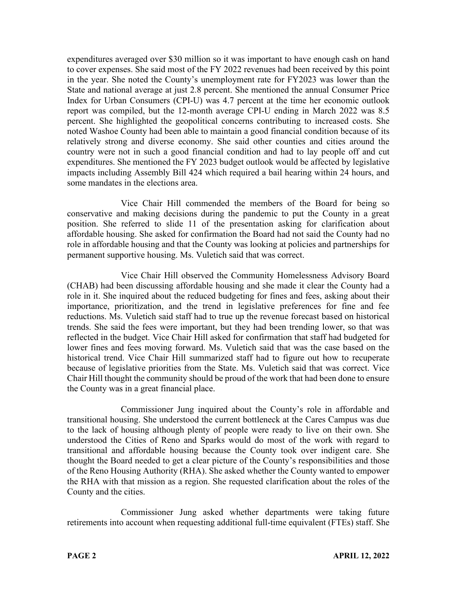expenditures averaged over \$30 million so it was important to have enough cash on hand to cover expenses. She said most of the FY 2022 revenues had been received by this point in the year. She noted the County's unemployment rate for FY2023 was lower than the State and national average at just 2.8 percent. She mentioned the annual Consumer Price Index for Urban Consumers (CPI-U) was 4.7 percent at the time her economic outlook report was compiled, but the 12-month average CPI-U ending in March 2022 was 8.5 percent. She highlighted the geopolitical concerns contributing to increased costs. She noted Washoe County had been able to maintain a good financial condition because of its relatively strong and diverse economy. She said other counties and cities around the country were not in such a good financial condition and had to lay people off and cut expenditures. She mentioned the FY 2023 budget outlook would be affected by legislative impacts including Assembly Bill 424 which required a bail hearing within 24 hours, and some mandates in the elections area.

Vice Chair Hill commended the members of the Board for being so conservative and making decisions during the pandemic to put the County in a great position. She referred to slide 11 of the presentation asking for clarification about affordable housing. She asked for confirmation the Board had not said the County had no role in affordable housing and that the County was looking at policies and partnerships for permanent supportive housing. Ms. Vuletich said that was correct.

Vice Chair Hill observed the Community Homelessness Advisory Board (CHAB) had been discussing affordable housing and she made it clear the County had a role in it. She inquired about the reduced budgeting for fines and fees, asking about their importance, prioritization, and the trend in legislative preferences for fine and fee reductions. Ms. Vuletich said staff had to true up the revenue forecast based on historical trends. She said the fees were important, but they had been trending lower, so that was reflected in the budget. Vice Chair Hill asked for confirmation that staff had budgeted for lower fines and fees moving forward. Ms. Vuletich said that was the case based on the historical trend. Vice Chair Hill summarized staff had to figure out how to recuperate because of legislative priorities from the State. Ms. Vuletich said that was correct. Vice Chair Hill thought the community should be proud of the work that had been done to ensure the County was in a great financial place.

Commissioner Jung inquired about the County's role in affordable and transitional housing. She understood the current bottleneck at the Cares Campus was due to the lack of housing although plenty of people were ready to live on their own. She understood the Cities of Reno and Sparks would do most of the work with regard to transitional and affordable housing because the County took over indigent care. She thought the Board needed to get a clear picture of the County's responsibilities and those of the Reno Housing Authority (RHA). She asked whether the County wanted to empower the RHA with that mission as a region. She requested clarification about the roles of the County and the cities.

Commissioner Jung asked whether departments were taking future retirements into account when requesting additional full-time equivalent (FTEs) staff. She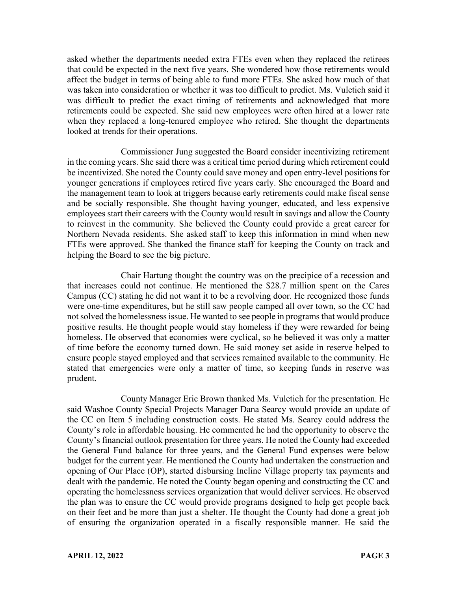asked whether the departments needed extra FTEs even when they replaced the retirees that could be expected in the next five years. She wondered how those retirements would affect the budget in terms of being able to fund more FTEs. She asked how much of that was taken into consideration or whether it was too difficult to predict. Ms. Vuletich said it was difficult to predict the exact timing of retirements and acknowledged that more retirements could be expected. She said new employees were often hired at a lower rate when they replaced a long-tenured employee who retired. She thought the departments looked at trends for their operations.

Commissioner Jung suggested the Board consider incentivizing retirement in the coming years. She said there was a critical time period during which retirement could be incentivized. She noted the County could save money and open entry-level positions for younger generations if employees retired five years early. She encouraged the Board and the management team to look at triggers because early retirements could make fiscal sense and be socially responsible. She thought having younger, educated, and less expensive employees start their careers with the County would result in savings and allow the County to reinvest in the community. She believed the County could provide a great career for Northern Nevada residents. She asked staff to keep this information in mind when new FTEs were approved. She thanked the finance staff for keeping the County on track and helping the Board to see the big picture.

Chair Hartung thought the country was on the precipice of a recession and that increases could not continue. He mentioned the \$28.7 million spent on the Cares Campus (CC) stating he did not want it to be a revolving door. He recognized those funds were one-time expenditures, but he still saw people camped all over town, so the CC had not solved the homelessness issue. He wanted to see people in programs that would produce positive results. He thought people would stay homeless if they were rewarded for being homeless. He observed that economies were cyclical, so he believed it was only a matter of time before the economy turned down. He said money set aside in reserve helped to ensure people stayed employed and that services remained available to the community. He stated that emergencies were only a matter of time, so keeping funds in reserve was prudent.

County Manager Eric Brown thanked Ms. Vuletich for the presentation. He said Washoe County Special Projects Manager Dana Searcy would provide an update of the CC on Item 5 including construction costs. He stated Ms. Searcy could address the County's role in affordable housing. He commented he had the opportunity to observe the County's financial outlook presentation for three years. He noted the County had exceeded the General Fund balance for three years, and the General Fund expenses were below budget for the current year. He mentioned the County had undertaken the construction and opening of Our Place (OP), started disbursing Incline Village property tax payments and dealt with the pandemic. He noted the County began opening and constructing the CC and operating the homelessness services organization that would deliver services. He observed the plan was to ensure the CC would provide programs designed to help get people back on their feet and be more than just a shelter. He thought the County had done a great job of ensuring the organization operated in a fiscally responsible manner. He said the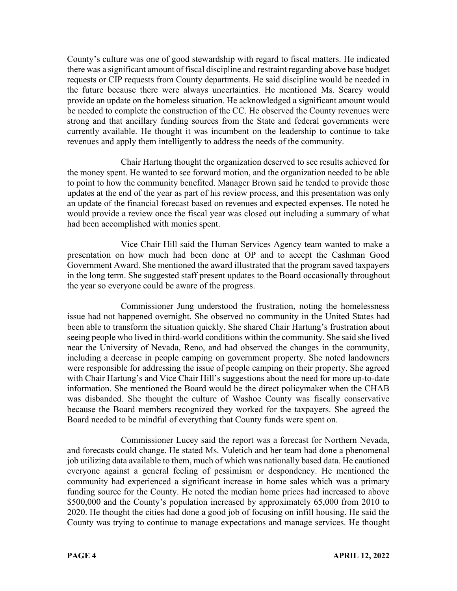County's culture was one of good stewardship with regard to fiscal matters. He indicated there was a significant amount of fiscal discipline and restraint regarding above base budget requests or CIP requests from County departments. He said discipline would be needed in the future because there were always uncertainties. He mentioned Ms. Searcy would provide an update on the homeless situation. He acknowledged a significant amount would be needed to complete the construction of the CC. He observed the County revenues were strong and that ancillary funding sources from the State and federal governments were currently available. He thought it was incumbent on the leadership to continue to take revenues and apply them intelligently to address the needs of the community.

Chair Hartung thought the organization deserved to see results achieved for the money spent. He wanted to see forward motion, and the organization needed to be able to point to how the community benefited. Manager Brown said he tended to provide those updates at the end of the year as part of his review process, and this presentation was only an update of the financial forecast based on revenues and expected expenses. He noted he would provide a review once the fiscal year was closed out including a summary of what had been accomplished with monies spent.

Vice Chair Hill said the Human Services Agency team wanted to make a presentation on how much had been done at OP and to accept the Cashman Good Government Award. She mentioned the award illustrated that the program saved taxpayers in the long term. She suggested staff present updates to the Board occasionally throughout the year so everyone could be aware of the progress.

Commissioner Jung understood the frustration, noting the homelessness issue had not happened overnight. She observed no community in the United States had been able to transform the situation quickly. She shared Chair Hartung's frustration about seeing people who lived in third-world conditions within the community. She said she lived near the University of Nevada, Reno, and had observed the changes in the community, including a decrease in people camping on government property. She noted landowners were responsible for addressing the issue of people camping on their property. She agreed with Chair Hartung's and Vice Chair Hill's suggestions about the need for more up-to-date information. She mentioned the Board would be the direct policymaker when the CHAB was disbanded. She thought the culture of Washoe County was fiscally conservative because the Board members recognized they worked for the taxpayers. She agreed the Board needed to be mindful of everything that County funds were spent on.

Commissioner Lucey said the report was a forecast for Northern Nevada, and forecasts could change. He stated Ms. Vuletich and her team had done a phenomenal job utilizing data available to them, much of which was nationally based data. He cautioned everyone against a general feeling of pessimism or despondency. He mentioned the community had experienced a significant increase in home sales which was a primary funding source for the County. He noted the median home prices had increased to above \$500,000 and the County's population increased by approximately 65,000 from 2010 to 2020. He thought the cities had done a good job of focusing on infill housing. He said the County was trying to continue to manage expectations and manage services. He thought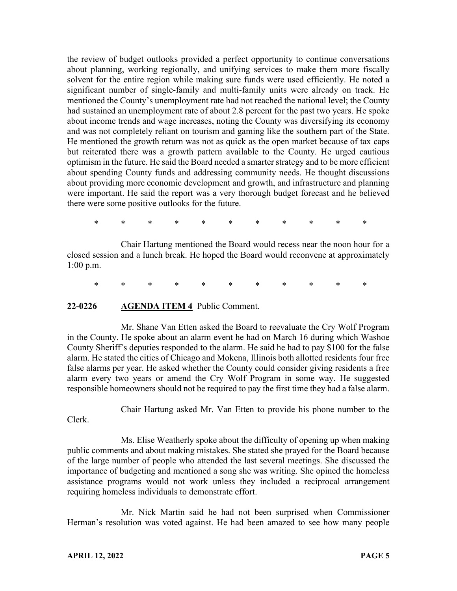the review of budget outlooks provided a perfect opportunity to continue conversations about planning, working regionally, and unifying services to make them more fiscally solvent for the entire region while making sure funds were used efficiently. He noted a significant number of single-family and multi-family units were already on track. He mentioned the County's unemployment rate had not reached the national level; the County had sustained an unemployment rate of about 2.8 percent for the past two years. He spoke about income trends and wage increases, noting the County was diversifying its economy and was not completely reliant on tourism and gaming like the southern part of the State. He mentioned the growth return was not as quick as the open market because of tax caps but reiterated there was a growth pattern available to the County. He urged cautious optimism in the future. He said the Board needed a smarter strategy and to be more efficient about spending County funds and addressing community needs. He thought discussions about providing more economic development and growth, and infrastructure and planning were important. He said the report was a very thorough budget forecast and he believed there were some positive outlooks for the future.

\* \* \* \* \* \* \* \* \* \* \*

Chair Hartung mentioned the Board would recess near the noon hour for a closed session and a lunch break. He hoped the Board would reconvene at approximately 1:00 p.m.

\* \* \* \* \* \* \* \* \* \* \*

#### **22-0226 AGENDA ITEM 4** Public Comment.

Mr. Shane Van Etten asked the Board to reevaluate the Cry Wolf Program in the County. He spoke about an alarm event he had on March 16 during which Washoe County Sheriff's deputies responded to the alarm. He said he had to pay \$100 for the false alarm. He stated the cities of Chicago and Mokena, Illinois both allotted residents four free false alarms per year. He asked whether the County could consider giving residents a free alarm every two years or amend the Cry Wolf Program in some way. He suggested responsible homeowners should not be required to pay the first time they had a false alarm.

Chair Hartung asked Mr. Van Etten to provide his phone number to the

Clerk.

Ms. Elise Weatherly spoke about the difficulty of opening up when making public comments and about making mistakes. She stated she prayed for the Board because of the large number of people who attended the last several meetings. She discussed the importance of budgeting and mentioned a song she was writing. She opined the homeless assistance programs would not work unless they included a reciprocal arrangement requiring homeless individuals to demonstrate effort.

Mr. Nick Martin said he had not been surprised when Commissioner Herman's resolution was voted against. He had been amazed to see how many people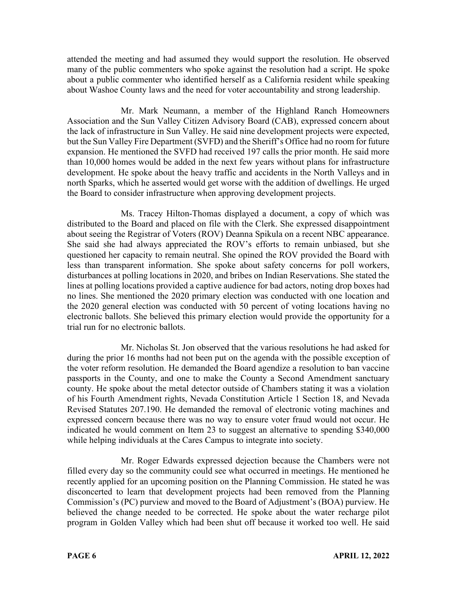attended the meeting and had assumed they would support the resolution. He observed many of the public commenters who spoke against the resolution had a script. He spoke about a public commenter who identified herself as a California resident while speaking about Washoe County laws and the need for voter accountability and strong leadership.

Mr. Mark Neumann, a member of the Highland Ranch Homeowners Association and the Sun Valley Citizen Advisory Board (CAB), expressed concern about the lack of infrastructure in Sun Valley. He said nine development projects were expected, but the Sun Valley Fire Department (SVFD) and the Sheriff's Office had no room for future expansion. He mentioned the SVFD had received 197 calls the prior month. He said more than 10,000 homes would be added in the next few years without plans for infrastructure development. He spoke about the heavy traffic and accidents in the North Valleys and in north Sparks, which he asserted would get worse with the addition of dwellings. He urged the Board to consider infrastructure when approving development projects.

Ms. Tracey Hilton-Thomas displayed a document, a copy of which was distributed to the Board and placed on file with the Clerk. She expressed disappointment about seeing the Registrar of Voters (ROV) Deanna Spikula on a recent NBC appearance. She said she had always appreciated the ROV's efforts to remain unbiased, but she questioned her capacity to remain neutral. She opined the ROV provided the Board with less than transparent information. She spoke about safety concerns for poll workers, disturbances at polling locations in 2020, and bribes on Indian Reservations. She stated the lines at polling locations provided a captive audience for bad actors, noting drop boxes had no lines. She mentioned the 2020 primary election was conducted with one location and the 2020 general election was conducted with 50 percent of voting locations having no electronic ballots. She believed this primary election would provide the opportunity for a trial run for no electronic ballots.

Mr. Nicholas St. Jon observed that the various resolutions he had asked for during the prior 16 months had not been put on the agenda with the possible exception of the voter reform resolution. He demanded the Board agendize a resolution to ban vaccine passports in the County, and one to make the County a Second Amendment sanctuary county. He spoke about the metal detector outside of Chambers stating it was a violation of his Fourth Amendment rights, Nevada Constitution Article 1 Section 18, and Nevada Revised Statutes 207.190. He demanded the removal of electronic voting machines and expressed concern because there was no way to ensure voter fraud would not occur. He indicated he would comment on Item 23 to suggest an alternative to spending \$340,000 while helping individuals at the Cares Campus to integrate into society.

Mr. Roger Edwards expressed dejection because the Chambers were not filled every day so the community could see what occurred in meetings. He mentioned he recently applied for an upcoming position on the Planning Commission. He stated he was disconcerted to learn that development projects had been removed from the Planning Commission's (PC) purview and moved to the Board of Adjustment's (BOA) purview. He believed the change needed to be corrected. He spoke about the water recharge pilot program in Golden Valley which had been shut off because it worked too well. He said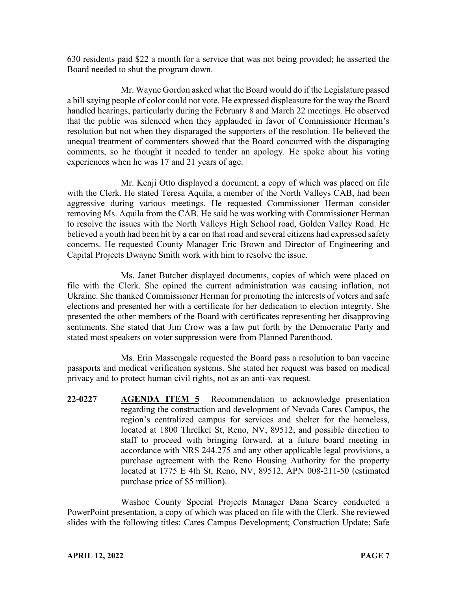630 residents paid \$22 a month for a service that was not being provided; he asserted the Board needed to shut the program down.

Mr. Wayne Gordon asked what the Board would do if the Legislature passed a bill saying people of color could not vote. He expressed displeasure for the way the Board handled hearings, particularly during the February 8 and March 22 meetings. He observed that the public was silenced when they applauded in favor of Commissioner Herman's resolution but not when they disparaged the supporters of the resolution. He believed the unequal treatment of commenters showed that the Board concurred with the disparaging comments, so he thought it needed to tender an apology. He spoke about his voting experiences when he was 17 and 21 years of age.

Mr. Kenji Otto displayed a document, a copy of which was placed on file with the Clerk. He stated Teresa Aquila, a member of the North Valleys CAB, had been aggressive during various meetings. He requested Commissioner Herman consider removing Ms. Aquila from the CAB. He said he was working with Commissioner Herman to resolve the issues with the North Valleys High School road, Golden Valley Road. He believed a youth had been hit by a car on that road and several citizens had expressed safety concerns. He requested County Manager Eric Brown and Director of Engineering and Capital Projects Dwayne Smith work with him to resolve the issue.

Ms. Janet Butcher displayed documents, copies of which were placed on file with the Clerk. She opined the current administration was causing inflation, not Ukraine. She thanked Commissioner Herman for promoting the interests of voters and safe elections and presented her with a certificate for her dedication to election integrity. She presented the other members of the Board with certificates representing her disapproving sentiments. She stated that Jim Crow was a law put forth by the Democratic Party and stated most speakers on voter suppression were from Planned Parenthood.

Ms. Erin Massengale requested the Board pass a resolution to ban vaccine passports and medical verification systems. She stated her request was based on medical privacy and to protect human civil rights, not as an anti-vax request.

**22-0227 AGENDA ITEM 5** Recommendation to acknowledge presentation regarding the construction and development of Nevada Cares Campus, the region's centralized campus for services and shelter for the homeless, located at 1800 Threlkel St, Reno, NV, 89512; and possible direction to staff to proceed with bringing forward, at a future board meeting in accordance with NRS 244.275 and any other applicable legal provisions, a purchase agreement with the Reno Housing Authority for the property located at 1775 E 4th St, Reno, NV, 89512, APN 008-211-50 (estimated purchase price of \$5 million).

Washoe County Special Projects Manager Dana Searcy conducted a PowerPoint presentation, a copy of which was placed on file with the Clerk. She reviewed slides with the following titles: Cares Campus Development; Construction Update; Safe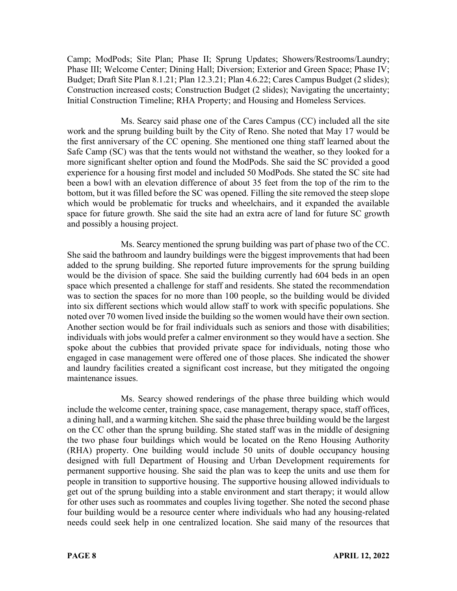Camp; ModPods; Site Plan; Phase II; Sprung Updates; Showers/Restrooms/Laundry; Phase III; Welcome Center; Dining Hall; Diversion; Exterior and Green Space; Phase IV; Budget; Draft Site Plan 8.1.21; Plan 12.3.21; Plan 4.6.22; Cares Campus Budget (2 slides); Construction increased costs; Construction Budget (2 slides); Navigating the uncertainty; Initial Construction Timeline; RHA Property; and Housing and Homeless Services.

Ms. Searcy said phase one of the Cares Campus (CC) included all the site work and the sprung building built by the City of Reno. She noted that May 17 would be the first anniversary of the CC opening. She mentioned one thing staff learned about the Safe Camp (SC) was that the tents would not withstand the weather, so they looked for a more significant shelter option and found the ModPods. She said the SC provided a good experience for a housing first model and included 50 ModPods. She stated the SC site had been a bowl with an elevation difference of about 35 feet from the top of the rim to the bottom, but it was filled before the SC was opened. Filling the site removed the steep slope which would be problematic for trucks and wheelchairs, and it expanded the available space for future growth. She said the site had an extra acre of land for future SC growth and possibly a housing project.

Ms. Searcy mentioned the sprung building was part of phase two of the CC. She said the bathroom and laundry buildings were the biggest improvements that had been added to the sprung building. She reported future improvements for the sprung building would be the division of space. She said the building currently had 604 beds in an open space which presented a challenge for staff and residents. She stated the recommendation was to section the spaces for no more than 100 people, so the building would be divided into six different sections which would allow staff to work with specific populations. She noted over 70 women lived inside the building so the women would have their own section. Another section would be for frail individuals such as seniors and those with disabilities; individuals with jobs would prefer a calmer environment so they would have a section. She spoke about the cubbies that provided private space for individuals, noting those who engaged in case management were offered one of those places. She indicated the shower and laundry facilities created a significant cost increase, but they mitigated the ongoing maintenance issues.

Ms. Searcy showed renderings of the phase three building which would include the welcome center, training space, case management, therapy space, staff offices, a dining hall, and a warming kitchen. She said the phase three building would be the largest on the CC other than the sprung building. She stated staff was in the middle of designing the two phase four buildings which would be located on the Reno Housing Authority (RHA) property. One building would include 50 units of double occupancy housing designed with full Department of Housing and Urban Development requirements for permanent supportive housing. She said the plan was to keep the units and use them for people in transition to supportive housing. The supportive housing allowed individuals to get out of the sprung building into a stable environment and start therapy; it would allow for other uses such as roommates and couples living together. She noted the second phase four building would be a resource center where individuals who had any housing-related needs could seek help in one centralized location. She said many of the resources that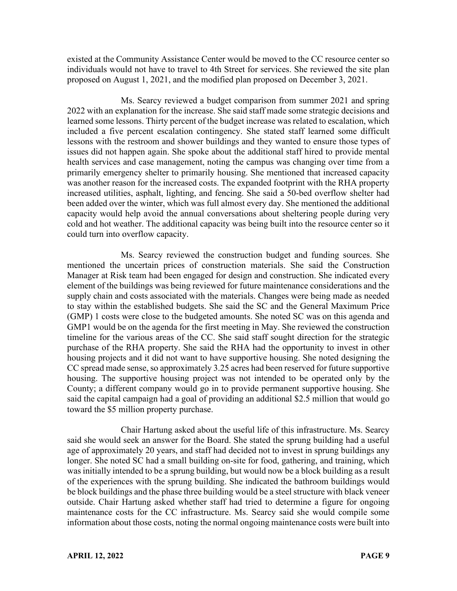existed at the Community Assistance Center would be moved to the CC resource center so individuals would not have to travel to 4th Street for services. She reviewed the site plan proposed on August 1, 2021, and the modified plan proposed on December 3, 2021.

Ms. Searcy reviewed a budget comparison from summer 2021 and spring 2022 with an explanation for the increase. She said staff made some strategic decisions and learned some lessons. Thirty percent of the budget increase was related to escalation, which included a five percent escalation contingency. She stated staff learned some difficult lessons with the restroom and shower buildings and they wanted to ensure those types of issues did not happen again. She spoke about the additional staff hired to provide mental health services and case management, noting the campus was changing over time from a primarily emergency shelter to primarily housing. She mentioned that increased capacity was another reason for the increased costs. The expanded footprint with the RHA property increased utilities, asphalt, lighting, and fencing. She said a 50-bed overflow shelter had been added over the winter, which was full almost every day. She mentioned the additional capacity would help avoid the annual conversations about sheltering people during very cold and hot weather. The additional capacity was being built into the resource center so it could turn into overflow capacity.

Ms. Searcy reviewed the construction budget and funding sources. She mentioned the uncertain prices of construction materials. She said the Construction Manager at Risk team had been engaged for design and construction. She indicated every element of the buildings was being reviewed for future maintenance considerations and the supply chain and costs associated with the materials. Changes were being made as needed to stay within the established budgets. She said the SC and the General Maximum Price (GMP) 1 costs were close to the budgeted amounts. She noted SC was on this agenda and GMP1 would be on the agenda for the first meeting in May. She reviewed the construction timeline for the various areas of the CC. She said staff sought direction for the strategic purchase of the RHA property. She said the RHA had the opportunity to invest in other housing projects and it did not want to have supportive housing. She noted designing the CC spread made sense, so approximately 3.25 acres had been reserved for future supportive housing. The supportive housing project was not intended to be operated only by the County; a different company would go in to provide permanent supportive housing. She said the capital campaign had a goal of providing an additional \$2.5 million that would go toward the \$5 million property purchase.

Chair Hartung asked about the useful life of this infrastructure. Ms. Searcy said she would seek an answer for the Board. She stated the sprung building had a useful age of approximately 20 years, and staff had decided not to invest in sprung buildings any longer. She noted SC had a small building on-site for food, gathering, and training, which was initially intended to be a sprung building, but would now be a block building as a result of the experiences with the sprung building. She indicated the bathroom buildings would be block buildings and the phase three building would be a steel structure with black veneer outside. Chair Hartung asked whether staff had tried to determine a figure for ongoing maintenance costs for the CC infrastructure. Ms. Searcy said she would compile some information about those costs, noting the normal ongoing maintenance costs were built into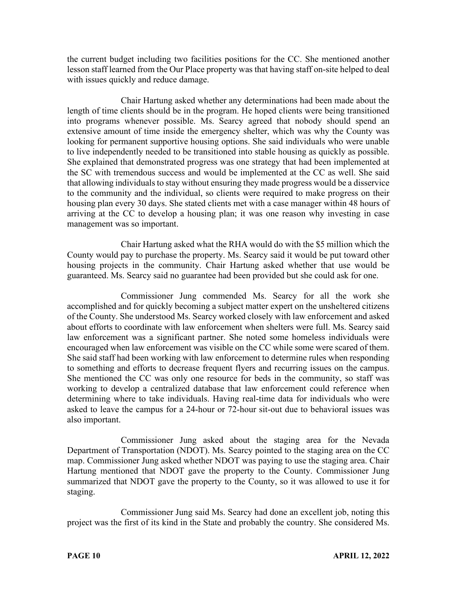the current budget including two facilities positions for the CC. She mentioned another lesson staff learned from the Our Place property was that having staff on-site helped to deal with issues quickly and reduce damage.

Chair Hartung asked whether any determinations had been made about the length of time clients should be in the program. He hoped clients were being transitioned into programs whenever possible. Ms. Searcy agreed that nobody should spend an extensive amount of time inside the emergency shelter, which was why the County was looking for permanent supportive housing options. She said individuals who were unable to live independently needed to be transitioned into stable housing as quickly as possible. She explained that demonstrated progress was one strategy that had been implemented at the SC with tremendous success and would be implemented at the CC as well. She said that allowing individuals to stay without ensuring they made progress would be a disservice to the community and the individual, so clients were required to make progress on their housing plan every 30 days. She stated clients met with a case manager within 48 hours of arriving at the CC to develop a housing plan; it was one reason why investing in case management was so important.

Chair Hartung asked what the RHA would do with the \$5 million which the County would pay to purchase the property. Ms. Searcy said it would be put toward other housing projects in the community. Chair Hartung asked whether that use would be guaranteed. Ms. Searcy said no guarantee had been provided but she could ask for one.

Commissioner Jung commended Ms. Searcy for all the work she accomplished and for quickly becoming a subject matter expert on the unsheltered citizens of the County. She understood Ms. Searcy worked closely with law enforcement and asked about efforts to coordinate with law enforcement when shelters were full. Ms. Searcy said law enforcement was a significant partner. She noted some homeless individuals were encouraged when law enforcement was visible on the CC while some were scared of them. She said staff had been working with law enforcement to determine rules when responding to something and efforts to decrease frequent flyers and recurring issues on the campus. She mentioned the CC was only one resource for beds in the community, so staff was working to develop a centralized database that law enforcement could reference when determining where to take individuals. Having real-time data for individuals who were asked to leave the campus for a 24-hour or 72-hour sit-out due to behavioral issues was also important.

Commissioner Jung asked about the staging area for the Nevada Department of Transportation (NDOT). Ms. Searcy pointed to the staging area on the CC map. Commissioner Jung asked whether NDOT was paying to use the staging area. Chair Hartung mentioned that NDOT gave the property to the County. Commissioner Jung summarized that NDOT gave the property to the County, so it was allowed to use it for staging.

Commissioner Jung said Ms. Searcy had done an excellent job, noting this project was the first of its kind in the State and probably the country. She considered Ms.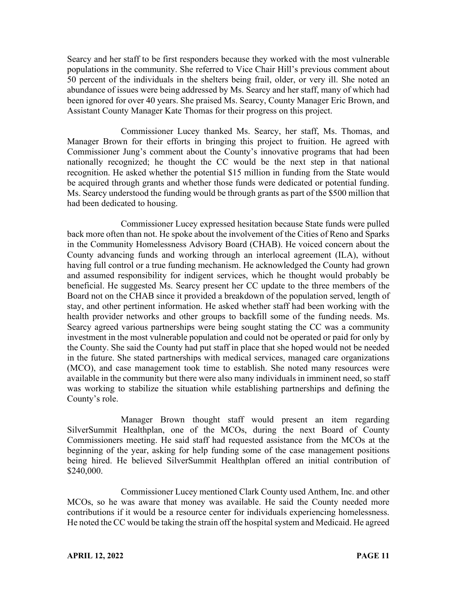Searcy and her staff to be first responders because they worked with the most vulnerable populations in the community. She referred to Vice Chair Hill's previous comment about 50 percent of the individuals in the shelters being frail, older, or very ill. She noted an abundance of issues were being addressed by Ms. Searcy and her staff, many of which had been ignored for over 40 years. She praised Ms. Searcy, County Manager Eric Brown, and Assistant County Manager Kate Thomas for their progress on this project.

Commissioner Lucey thanked Ms. Searcy, her staff, Ms. Thomas, and Manager Brown for their efforts in bringing this project to fruition. He agreed with Commissioner Jung's comment about the County's innovative programs that had been nationally recognized; he thought the CC would be the next step in that national recognition. He asked whether the potential \$15 million in funding from the State would be acquired through grants and whether those funds were dedicated or potential funding. Ms. Searcy understood the funding would be through grants as part of the \$500 million that had been dedicated to housing.

Commissioner Lucey expressed hesitation because State funds were pulled back more often than not. He spoke about the involvement of the Cities of Reno and Sparks in the Community Homelessness Advisory Board (CHAB). He voiced concern about the County advancing funds and working through an interlocal agreement (ILA), without having full control or a true funding mechanism. He acknowledged the County had grown and assumed responsibility for indigent services, which he thought would probably be beneficial. He suggested Ms. Searcy present her CC update to the three members of the Board not on the CHAB since it provided a breakdown of the population served, length of stay, and other pertinent information. He asked whether staff had been working with the health provider networks and other groups to backfill some of the funding needs. Ms. Searcy agreed various partnerships were being sought stating the CC was a community investment in the most vulnerable population and could not be operated or paid for only by the County. She said the County had put staff in place that she hoped would not be needed in the future. She stated partnerships with medical services, managed care organizations (MCO), and case management took time to establish. She noted many resources were available in the community but there were also many individuals in imminent need, so staff was working to stabilize the situation while establishing partnerships and defining the County's role.

Manager Brown thought staff would present an item regarding SilverSummit Healthplan, one of the MCOs, during the next Board of County Commissioners meeting. He said staff had requested assistance from the MCOs at the beginning of the year, asking for help funding some of the case management positions being hired. He believed SilverSummit Healthplan offered an initial contribution of \$240,000.

Commissioner Lucey mentioned Clark County used Anthem, Inc. and other MCOs, so he was aware that money was available. He said the County needed more contributions if it would be a resource center for individuals experiencing homelessness. He noted the CC would be taking the strain off the hospital system and Medicaid. He agreed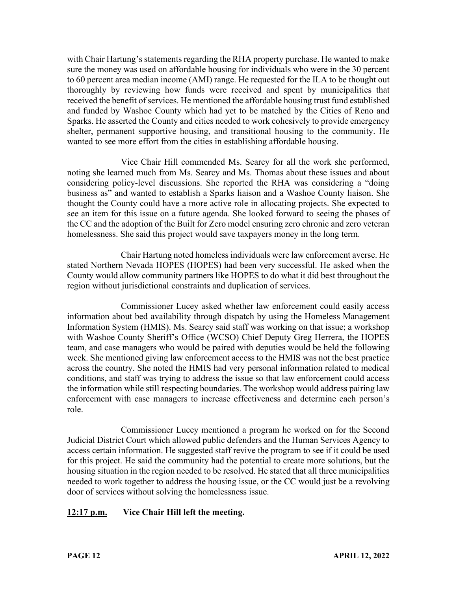with Chair Hartung's statements regarding the RHA property purchase. He wanted to make sure the money was used on affordable housing for individuals who were in the 30 percent to 60 percent area median income (AMI) range. He requested for the ILA to be thought out thoroughly by reviewing how funds were received and spent by municipalities that received the benefit of services. He mentioned the affordable housing trust fund established and funded by Washoe County which had yet to be matched by the Cities of Reno and Sparks. He asserted the County and cities needed to work cohesively to provide emergency shelter, permanent supportive housing, and transitional housing to the community. He wanted to see more effort from the cities in establishing affordable housing.

Vice Chair Hill commended Ms. Searcy for all the work she performed, noting she learned much from Ms. Searcy and Ms. Thomas about these issues and about considering policy-level discussions. She reported the RHA was considering a "doing business as" and wanted to establish a Sparks liaison and a Washoe County liaison. She thought the County could have a more active role in allocating projects. She expected to see an item for this issue on a future agenda. She looked forward to seeing the phases of the CC and the adoption of the Built for Zero model ensuring zero chronic and zero veteran homelessness. She said this project would save taxpayers money in the long term.

Chair Hartung noted homeless individuals were law enforcement averse. He stated Northern Nevada HOPES (HOPES) had been very successful. He asked when the County would allow community partners like HOPES to do what it did best throughout the region without jurisdictional constraints and duplication of services.

Commissioner Lucey asked whether law enforcement could easily access information about bed availability through dispatch by using the Homeless Management Information System (HMIS). Ms. Searcy said staff was working on that issue; a workshop with Washoe County Sheriff's Office (WCSO) Chief Deputy Greg Herrera, the HOPES team, and case managers who would be paired with deputies would be held the following week. She mentioned giving law enforcement access to the HMIS was not the best practice across the country. She noted the HMIS had very personal information related to medical conditions, and staff was trying to address the issue so that law enforcement could access the information while still respecting boundaries. The workshop would address pairing law enforcement with case managers to increase effectiveness and determine each person's role.

Commissioner Lucey mentioned a program he worked on for the Second Judicial District Court which allowed public defenders and the Human Services Agency to access certain information. He suggested staff revive the program to see if it could be used for this project. He said the community had the potential to create more solutions, but the housing situation in the region needed to be resolved. He stated that all three municipalities needed to work together to address the housing issue, or the CC would just be a revolving door of services without solving the homelessness issue.

# **12:17 p.m. Vice Chair Hill left the meeting.**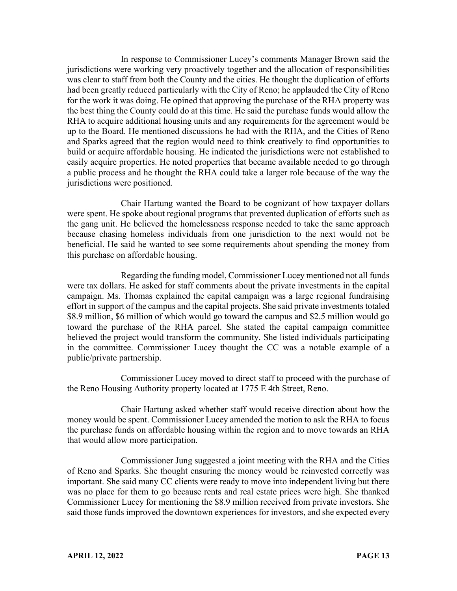In response to Commissioner Lucey's comments Manager Brown said the jurisdictions were working very proactively together and the allocation of responsibilities was clear to staff from both the County and the cities. He thought the duplication of efforts had been greatly reduced particularly with the City of Reno; he applauded the City of Reno for the work it was doing. He opined that approving the purchase of the RHA property was the best thing the County could do at this time. He said the purchase funds would allow the RHA to acquire additional housing units and any requirements for the agreement would be up to the Board. He mentioned discussions he had with the RHA, and the Cities of Reno and Sparks agreed that the region would need to think creatively to find opportunities to build or acquire affordable housing. He indicated the jurisdictions were not established to easily acquire properties. He noted properties that became available needed to go through a public process and he thought the RHA could take a larger role because of the way the jurisdictions were positioned.

Chair Hartung wanted the Board to be cognizant of how taxpayer dollars were spent. He spoke about regional programs that prevented duplication of efforts such as the gang unit. He believed the homelessness response needed to take the same approach because chasing homeless individuals from one jurisdiction to the next would not be beneficial. He said he wanted to see some requirements about spending the money from this purchase on affordable housing.

Regarding the funding model, Commissioner Lucey mentioned not all funds were tax dollars. He asked for staff comments about the private investments in the capital campaign. Ms. Thomas explained the capital campaign was a large regional fundraising effort in support of the campus and the capital projects. She said private investments totaled \$8.9 million, \$6 million of which would go toward the campus and \$2.5 million would go toward the purchase of the RHA parcel. She stated the capital campaign committee believed the project would transform the community. She listed individuals participating in the committee. Commissioner Lucey thought the CC was a notable example of a public/private partnership.

Commissioner Lucey moved to direct staff to proceed with the purchase of the Reno Housing Authority property located at 1775 E 4th Street, Reno.

Chair Hartung asked whether staff would receive direction about how the money would be spent. Commissioner Lucey amended the motion to ask the RHA to focus the purchase funds on affordable housing within the region and to move towards an RHA that would allow more participation.

Commissioner Jung suggested a joint meeting with the RHA and the Cities of Reno and Sparks. She thought ensuring the money would be reinvested correctly was important. She said many CC clients were ready to move into independent living but there was no place for them to go because rents and real estate prices were high. She thanked Commissioner Lucey for mentioning the \$8.9 million received from private investors. She said those funds improved the downtown experiences for investors, and she expected every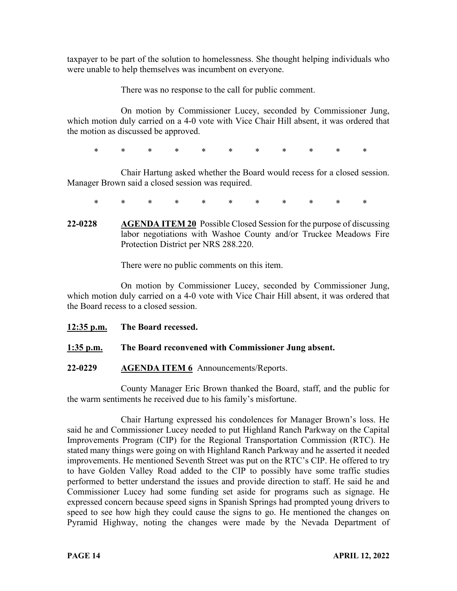taxpayer to be part of the solution to homelessness. She thought helping individuals who were unable to help themselves was incumbent on everyone.

There was no response to the call for public comment.

On motion by Commissioner Lucey, seconded by Commissioner Jung, which motion duly carried on a 4-0 vote with Vice Chair Hill absent, it was ordered that the motion as discussed be approved.

\* \* \* \* \* \* \* \* \* \* \*

Chair Hartung asked whether the Board would recess for a closed session. Manager Brown said a closed session was required.

- \* \* \* \* \* \* \* \* \* \* \*
- **22-0228 AGENDA ITEM 20** Possible Closed Session for the purpose of discussing labor negotiations with Washoe County and/or Truckee Meadows Fire Protection District per NRS 288.220.

There were no public comments on this item.

On motion by Commissioner Lucey, seconded by Commissioner Jung, which motion duly carried on a 4-0 vote with Vice Chair Hill absent, it was ordered that the Board recess to a closed session.

- **12:35 p.m. The Board recessed.**
- **1:35 p.m. The Board reconvened with Commissioner Jung absent.**
- **22-0229 AGENDA ITEM 6** Announcements/Reports.

County Manager Eric Brown thanked the Board, staff, and the public for the warm sentiments he received due to his family's misfortune.

Chair Hartung expressed his condolences for Manager Brown's loss. He said he and Commissioner Lucey needed to put Highland Ranch Parkway on the Capital Improvements Program (CIP) for the Regional Transportation Commission (RTC). He stated many things were going on with Highland Ranch Parkway and he asserted it needed improvements. He mentioned Seventh Street was put on the RTC's CIP. He offered to try to have Golden Valley Road added to the CIP to possibly have some traffic studies performed to better understand the issues and provide direction to staff. He said he and Commissioner Lucey had some funding set aside for programs such as signage. He expressed concern because speed signs in Spanish Springs had prompted young drivers to speed to see how high they could cause the signs to go. He mentioned the changes on Pyramid Highway, noting the changes were made by the Nevada Department of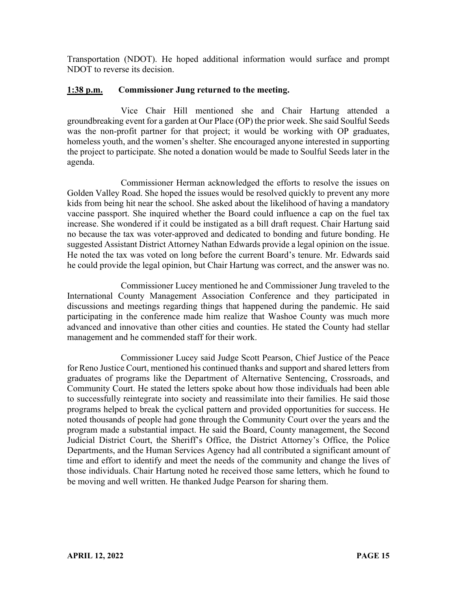Transportation (NDOT). He hoped additional information would surface and prompt NDOT to reverse its decision.

## **1:38 p.m. Commissioner Jung returned to the meeting.**

Vice Chair Hill mentioned she and Chair Hartung attended a groundbreaking event for a garden at Our Place (OP) the prior week. She said Soulful Seeds was the non-profit partner for that project; it would be working with OP graduates, homeless youth, and the women's shelter. She encouraged anyone interested in supporting the project to participate. She noted a donation would be made to Soulful Seeds later in the agenda.

Commissioner Herman acknowledged the efforts to resolve the issues on Golden Valley Road. She hoped the issues would be resolved quickly to prevent any more kids from being hit near the school. She asked about the likelihood of having a mandatory vaccine passport. She inquired whether the Board could influence a cap on the fuel tax increase. She wondered if it could be instigated as a bill draft request. Chair Hartung said no because the tax was voter-approved and dedicated to bonding and future bonding. He suggested Assistant District Attorney Nathan Edwards provide a legal opinion on the issue. He noted the tax was voted on long before the current Board's tenure. Mr. Edwards said he could provide the legal opinion, but Chair Hartung was correct, and the answer was no.

Commissioner Lucey mentioned he and Commissioner Jung traveled to the International County Management Association Conference and they participated in discussions and meetings regarding things that happened during the pandemic. He said participating in the conference made him realize that Washoe County was much more advanced and innovative than other cities and counties. He stated the County had stellar management and he commended staff for their work.

Commissioner Lucey said Judge Scott Pearson, Chief Justice of the Peace for Reno Justice Court, mentioned his continued thanks and support and shared letters from graduates of programs like the Department of Alternative Sentencing, Crossroads, and Community Court. He stated the letters spoke about how those individuals had been able to successfully reintegrate into society and reassimilate into their families. He said those programs helped to break the cyclical pattern and provided opportunities for success. He noted thousands of people had gone through the Community Court over the years and the program made a substantial impact. He said the Board, County management, the Second Judicial District Court, the Sheriff's Office, the District Attorney's Office, the Police Departments, and the Human Services Agency had all contributed a significant amount of time and effort to identify and meet the needs of the community and change the lives of those individuals. Chair Hartung noted he received those same letters, which he found to be moving and well written. He thanked Judge Pearson for sharing them.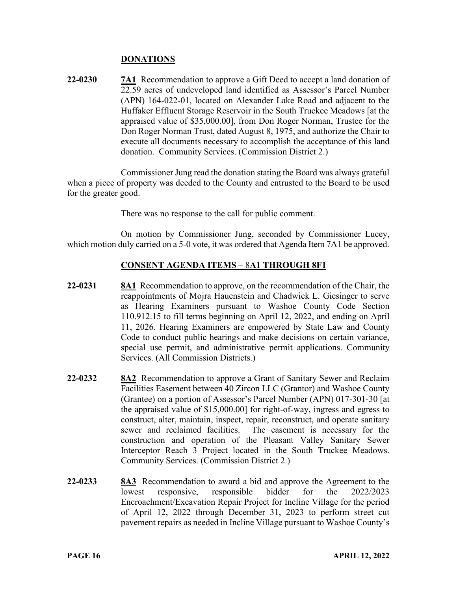### **DONATIONS**

**22-0230 7A1** Recommendation to approve a Gift Deed to accept a land donation of 22.59 acres of undeveloped land identified as Assessor's Parcel Number (APN) 164-022-01, located on Alexander Lake Road and adjacent to the Huffaker Effluent Storage Reservoir in the South Truckee Meadows [at the appraised value of \$35,000.00], from Don Roger Norman, Trustee for the Don Roger Norman Trust, dated August 8, 1975, and authorize the Chair to execute all documents necessary to accomplish the acceptance of this land donation. Community Services. (Commission District 2.)

Commissioner Jung read the donation stating the Board was always grateful when a piece of property was deeded to the County and entrusted to the Board to be used for the greater good.

There was no response to the call for public comment.

On motion by Commissioner Jung, seconded by Commissioner Lucey, which motion duly carried on a 5-0 vote, it was ordered that Agenda Item 7A1 be approved.

### **CONSENT AGENDA ITEMS** – 8**A1 THROUGH 8F1**

- **22-0231 8A1** Recommendation to approve, on the recommendation of the Chair, the reappointments of Mojra Hauenstein and Chadwick L. Giesinger to serve as Hearing Examiners pursuant to Washoe County Code Section 110.912.15 to fill terms beginning on April 12, 2022, and ending on April 11, 2026. Hearing Examiners are empowered by State Law and County Code to conduct public hearings and make decisions on certain variance, special use permit, and administrative permit applications. Community Services. (All Commission Districts.)
- **22-0232 8A2** Recommendation to approve a Grant of Sanitary Sewer and Reclaim Facilities Easement between 40 Zircon LLC (Grantor) and Washoe County (Grantee) on a portion of Assessor's Parcel Number (APN) 017-301-30 [at the appraised value of \$15,000.00] for right-of-way, ingress and egress to construct, alter, maintain, inspect, repair, reconstruct, and operate sanitary sewer and reclaimed facilities. The easement is necessary for the construction and operation of the Pleasant Valley Sanitary Sewer Interceptor Reach 3 Project located in the South Truckee Meadows. Community Services. (Commission District 2.)
- **22-0233 8A3** Recommendation to award a bid and approve the Agreement to the lowest responsive, responsible bidder for the 2022/2023 Encroachment/Excavation Repair Project for Incline Village for the period of April 12, 2022 through December 31, 2023 to perform street cut pavement repairs as needed in Incline Village pursuant to Washoe County's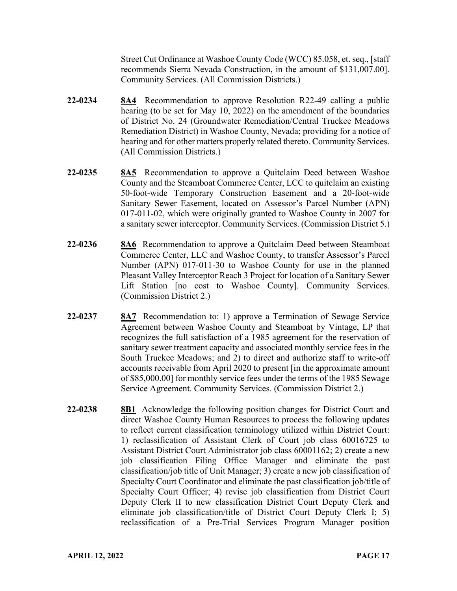Street Cut Ordinance at Washoe County Code (WCC) 85.058, et. seq., [staff recommends Sierra Nevada Construction, in the amount of \$131,007.00]. Community Services. (All Commission Districts.)

- **22-0234 8A4** Recommendation to approve Resolution R22-49 calling a public hearing (to be set for May 10, 2022) on the amendment of the boundaries of District No. 24 (Groundwater Remediation/Central Truckee Meadows Remediation District) in Washoe County, Nevada; providing for a notice of hearing and for other matters properly related thereto. Community Services. (All Commission Districts.)
- **22-0235 8A5** Recommendation to approve a Quitclaim Deed between Washoe County and the Steamboat Commerce Center, LCC to quitclaim an existing 50-foot-wide Temporary Construction Easement and a 20-foot-wide Sanitary Sewer Easement, located on Assessor's Parcel Number (APN) 017-011-02, which were originally granted to Washoe County in 2007 for a sanitary sewer interceptor. Community Services. (Commission District 5.)
- **22-0236 8A6** Recommendation to approve a Quitclaim Deed between Steamboat Commerce Center, LLC and Washoe County, to transfer Assessor's Parcel Number (APN) 017-011-30 to Washoe County for use in the planned Pleasant Valley Interceptor Reach 3 Project for location of a Sanitary Sewer Lift Station [no cost to Washoe County]. Community Services. (Commission District 2.)
- **22-0237 8A7** Recommendation to: 1) approve a Termination of Sewage Service Agreement between Washoe County and Steamboat by Vintage, LP that recognizes the full satisfaction of a 1985 agreement for the reservation of sanitary sewer treatment capacity and associated monthly service fees in the South Truckee Meadows; and 2) to direct and authorize staff to write-off accounts receivable from April 2020 to present [in the approximate amount of \$85,000.00] for monthly service fees under the terms of the 1985 Sewage Service Agreement. Community Services. (Commission District 2.)
- **22-0238 8B1** Acknowledge the following position changes for District Court and direct Washoe County Human Resources to process the following updates to reflect current classification terminology utilized within District Court: 1) reclassification of Assistant Clerk of Court job class 60016725 to Assistant District Court Administrator job class 60001162; 2) create a new job classification Filing Office Manager and eliminate the past classification/job title of Unit Manager; 3) create a new job classification of Specialty Court Coordinator and eliminate the past classification job/title of Specialty Court Officer; 4) revise job classification from District Court Deputy Clerk II to new classification District Court Deputy Clerk and eliminate job classification/title of District Court Deputy Clerk I; 5) reclassification of a Pre-Trial Services Program Manager position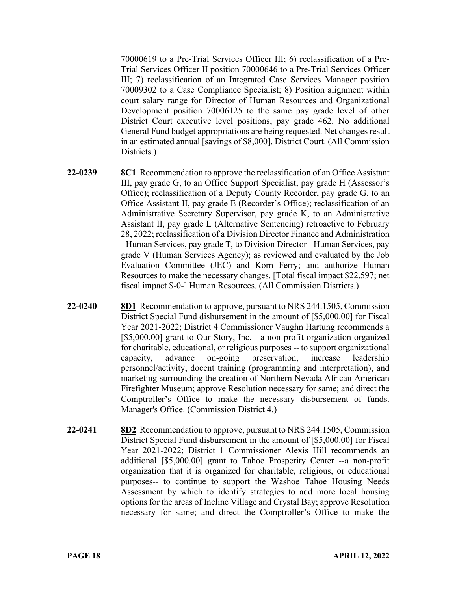70000619 to a Pre-Trial Services Officer III; 6) reclassification of a Pre-Trial Services Officer II position 70000646 to a Pre-Trial Services Officer III; 7) reclassification of an Integrated Case Services Manager position 70009302 to a Case Compliance Specialist; 8) Position alignment within court salary range for Director of Human Resources and Organizational Development position 70006125 to the same pay grade level of other District Court executive level positions, pay grade 462. No additional General Fund budget appropriations are being requested. Net changes result in an estimated annual [savings of \$8,000]. District Court. (All Commission Districts.)

- **22-0239 8C1** Recommendation to approve the reclassification of an Office Assistant III, pay grade G, to an Office Support Specialist, pay grade H (Assessor's Office); reclassification of a Deputy County Recorder, pay grade G, to an Office Assistant II, pay grade E (Recorder's Office); reclassification of an Administrative Secretary Supervisor, pay grade K, to an Administrative Assistant II, pay grade L (Alternative Sentencing) retroactive to February 28, 2022; reclassification of a Division Director Finance and Administration - Human Services, pay grade T, to Division Director - Human Services, pay grade V (Human Services Agency); as reviewed and evaluated by the Job Evaluation Committee (JEC) and Korn Ferry; and authorize Human Resources to make the necessary changes. [Total fiscal impact \$22,597; net fiscal impact \$-0-] Human Resources. (All Commission Districts.)
- **22-0240 8D1** Recommendation to approve, pursuant to NRS 244.1505, Commission District Special Fund disbursement in the amount of [\$5,000.00] for Fiscal Year 2021-2022; District 4 Commissioner Vaughn Hartung recommends a [\$5,000.00] grant to Our Story, Inc. --a non-profit organization organized for charitable, educational, or religious purposes -- to support organizational capacity, advance on-going preservation, increase leadership personnel/activity, docent training (programming and interpretation), and marketing surrounding the creation of Northern Nevada African American Firefighter Museum; approve Resolution necessary for same; and direct the Comptroller's Office to make the necessary disbursement of funds. Manager's Office. (Commission District 4.)
- **22-0241 8D2** Recommendation to approve, pursuant to NRS 244.1505, Commission District Special Fund disbursement in the amount of [\$5,000.00] for Fiscal Year 2021-2022; District 1 Commissioner Alexis Hill recommends an additional [\$5,000.00] grant to Tahoe Prosperity Center --a non-profit organization that it is organized for charitable, religious, or educational purposes-- to continue to support the Washoe Tahoe Housing Needs Assessment by which to identify strategies to add more local housing options for the areas of Incline Village and Crystal Bay; approve Resolution necessary for same; and direct the Comptroller's Office to make the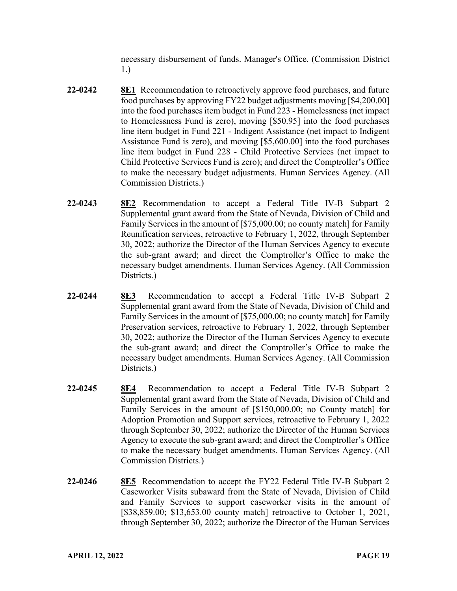necessary disbursement of funds. Manager's Office. (Commission District 1.)

- **22-0242 8E1** Recommendation to retroactively approve food purchases, and future food purchases by approving FY22 budget adjustments moving [\$4,200.00] into the food purchases item budget in Fund 223 - Homelessness (net impact to Homelessness Fund is zero), moving [\$50.95] into the food purchases line item budget in Fund 221 - Indigent Assistance (net impact to Indigent Assistance Fund is zero), and moving [\$5,600.00] into the food purchases line item budget in Fund 228 - Child Protective Services (net impact to Child Protective Services Fund is zero); and direct the Comptroller's Office to make the necessary budget adjustments. Human Services Agency. (All Commission Districts.)
- **22-0243 8E2** Recommendation to accept a Federal Title IV-B Subpart 2 Supplemental grant award from the State of Nevada, Division of Child and Family Services in the amount of [\$75,000.00; no county match] for Family Reunification services, retroactive to February 1, 2022, through September 30, 2022; authorize the Director of the Human Services Agency to execute the sub-grant award; and direct the Comptroller's Office to make the necessary budget amendments. Human Services Agency. (All Commission Districts.)
- **22-0244 8E3** Recommendation to accept a Federal Title IV-B Subpart 2 Supplemental grant award from the State of Nevada, Division of Child and Family Services in the amount of [\$75,000.00; no county match] for Family Preservation services, retroactive to February 1, 2022, through September 30, 2022; authorize the Director of the Human Services Agency to execute the sub-grant award; and direct the Comptroller's Office to make the necessary budget amendments. Human Services Agency. (All Commission Districts.)
- **22-0245 8E4** Recommendation to accept a Federal Title IV-B Subpart 2 Supplemental grant award from the State of Nevada, Division of Child and Family Services in the amount of [\$150,000.00; no County match] for Adoption Promotion and Support services, retroactive to February 1, 2022 through September 30, 2022; authorize the Director of the Human Services Agency to execute the sub-grant award; and direct the Comptroller's Office to make the necessary budget amendments. Human Services Agency. (All Commission Districts.)
- **22-0246 8E5** Recommendation to accept the FY22 Federal Title IV-B Subpart 2 Caseworker Visits subaward from the State of Nevada, Division of Child and Family Services to support caseworker visits in the amount of [\$38,859.00; \$13,653.00 county match] retroactive to October 1, 2021, through September 30, 2022; authorize the Director of the Human Services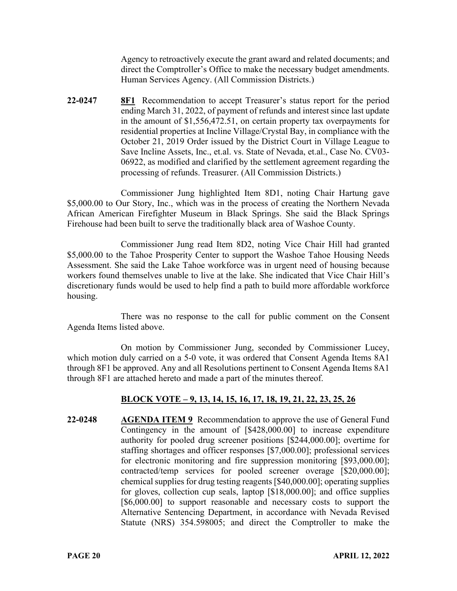Agency to retroactively execute the grant award and related documents; and direct the Comptroller's Office to make the necessary budget amendments. Human Services Agency. (All Commission Districts.)

**22-0247 8F1** Recommendation to accept Treasurer's status report for the period ending March 31, 2022, of payment of refunds and interest since last update in the amount of \$1,556,472.51, on certain property tax overpayments for residential properties at Incline Village/Crystal Bay, in compliance with the October 21, 2019 Order issued by the District Court in Village League to Save Incline Assets, Inc., et.al. vs. State of Nevada, et.al., Case No. CV03- 06922, as modified and clarified by the settlement agreement regarding the processing of refunds. Treasurer. (All Commission Districts.)

Commissioner Jung highlighted Item 8D1, noting Chair Hartung gave \$5,000.00 to Our Story, Inc., which was in the process of creating the Northern Nevada African American Firefighter Museum in Black Springs. She said the Black Springs Firehouse had been built to serve the traditionally black area of Washoe County.

Commissioner Jung read Item 8D2, noting Vice Chair Hill had granted \$5,000.00 to the Tahoe Prosperity Center to support the Washoe Tahoe Housing Needs Assessment. She said the Lake Tahoe workforce was in urgent need of housing because workers found themselves unable to live at the lake. She indicated that Vice Chair Hill's discretionary funds would be used to help find a path to build more affordable workforce housing.

There was no response to the call for public comment on the Consent Agenda Items listed above.

On motion by Commissioner Jung, seconded by Commissioner Lucey, which motion duly carried on a 5-0 vote, it was ordered that Consent Agenda Items 8A1 through 8F1 be approved. Any and all Resolutions pertinent to Consent Agenda Items 8A1 through 8F1 are attached hereto and made a part of the minutes thereof.

# **BLOCK VOTE – 9, 13, 14, 15, 16, 17, 18, 19, 21, 22, 23, 25, 26**

**22-0248 AGENDA ITEM 9** Recommendation to approve the use of General Fund Contingency in the amount of [\$428,000.00] to increase expenditure authority for pooled drug screener positions [\$244,000.00]; overtime for staffing shortages and officer responses [\$7,000.00]; professional services for electronic monitoring and fire suppression monitoring [\$93,000.00]; contracted/temp services for pooled screener overage [\$20,000.00]; chemical supplies for drug testing reagents [\$40,000.00]; operating supplies for gloves, collection cup seals, laptop [\$18,000.00]; and office supplies [\$6,000.00] to support reasonable and necessary costs to support the Alternative Sentencing Department, in accordance with Nevada Revised Statute (NRS) 354.598005; and direct the Comptroller to make the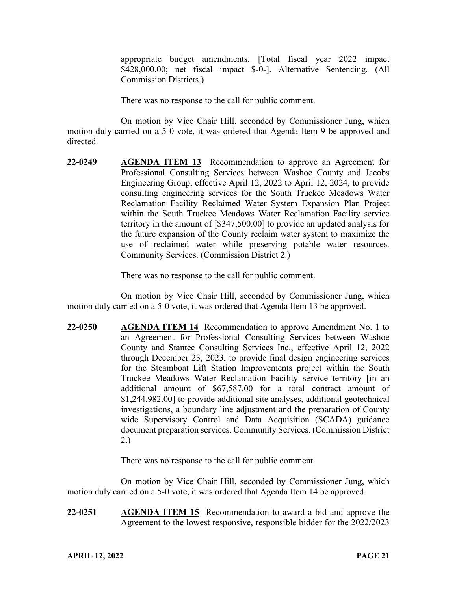appropriate budget amendments. [Total fiscal year 2022 impact \$428,000.00; net fiscal impact \$-0-]. Alternative Sentencing. (All Commission Districts.)

There was no response to the call for public comment.

On motion by Vice Chair Hill, seconded by Commissioner Jung, which motion duly carried on a 5-0 vote, it was ordered that Agenda Item 9 be approved and directed.

**22-0249 AGENDA ITEM 13** Recommendation to approve an Agreement for Professional Consulting Services between Washoe County and Jacobs Engineering Group, effective April 12, 2022 to April 12, 2024, to provide consulting engineering services for the South Truckee Meadows Water Reclamation Facility Reclaimed Water System Expansion Plan Project within the South Truckee Meadows Water Reclamation Facility service territory in the amount of [\$347,500.00] to provide an updated analysis for the future expansion of the County reclaim water system to maximize the use of reclaimed water while preserving potable water resources. Community Services. (Commission District 2.)

There was no response to the call for public comment.

On motion by Vice Chair Hill, seconded by Commissioner Jung, which motion duly carried on a 5-0 vote, it was ordered that Agenda Item 13 be approved.

**22-0250 AGENDA ITEM 14** Recommendation to approve Amendment No. 1 to an Agreement for Professional Consulting Services between Washoe County and Stantec Consulting Services Inc., effective April 12, 2022 through December 23, 2023, to provide final design engineering services for the Steamboat Lift Station Improvements project within the South Truckee Meadows Water Reclamation Facility service territory [in an additional amount of \$67,587.00 for a total contract amount of \$1,244,982.00] to provide additional site analyses, additional geotechnical investigations, a boundary line adjustment and the preparation of County wide Supervisory Control and Data Acquisition (SCADA) guidance document preparation services. Community Services. (Commission District 2.)

There was no response to the call for public comment.

On motion by Vice Chair Hill, seconded by Commissioner Jung, which motion duly carried on a 5-0 vote, it was ordered that Agenda Item 14 be approved.

**22-0251 AGENDA ITEM 15** Recommendation to award a bid and approve the Agreement to the lowest responsive, responsible bidder for the 2022/2023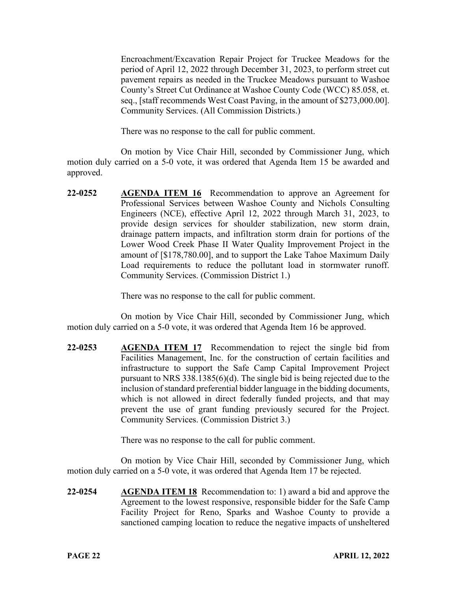Encroachment/Excavation Repair Project for Truckee Meadows for the period of April 12, 2022 through December 31, 2023, to perform street cut pavement repairs as needed in the Truckee Meadows pursuant to Washoe County's Street Cut Ordinance at Washoe County Code (WCC) 85.058, et. seq., [staff recommends West Coast Paving, in the amount of \$273,000.00]. Community Services. (All Commission Districts.)

There was no response to the call for public comment.

On motion by Vice Chair Hill, seconded by Commissioner Jung, which motion duly carried on a 5-0 vote, it was ordered that Agenda Item 15 be awarded and approved.

**22-0252 AGENDA ITEM 16** Recommendation to approve an Agreement for Professional Services between Washoe County and Nichols Consulting Engineers (NCE), effective April 12, 2022 through March 31, 2023, to provide design services for shoulder stabilization, new storm drain, drainage pattern impacts, and infiltration storm drain for portions of the Lower Wood Creek Phase II Water Quality Improvement Project in the amount of [\$178,780.00], and to support the Lake Tahoe Maximum Daily Load requirements to reduce the pollutant load in stormwater runoff. Community Services. (Commission District 1.)

There was no response to the call for public comment.

On motion by Vice Chair Hill, seconded by Commissioner Jung, which motion duly carried on a 5-0 vote, it was ordered that Agenda Item 16 be approved.

**22-0253 AGENDA ITEM 17** Recommendation to reject the single bid from Facilities Management, Inc. for the construction of certain facilities and infrastructure to support the Safe Camp Capital Improvement Project pursuant to NRS 338.1385(6)(d). The single bid is being rejected due to the inclusion of standard preferential bidder language in the bidding documents, which is not allowed in direct federally funded projects, and that may prevent the use of grant funding previously secured for the Project. Community Services. (Commission District 3.)

There was no response to the call for public comment.

On motion by Vice Chair Hill, seconded by Commissioner Jung, which motion duly carried on a 5-0 vote, it was ordered that Agenda Item 17 be rejected.

**22-0254 AGENDA ITEM 18** Recommendation to: 1) award a bid and approve the Agreement to the lowest responsive, responsible bidder for the Safe Camp Facility Project for Reno, Sparks and Washoe County to provide a sanctioned camping location to reduce the negative impacts of unsheltered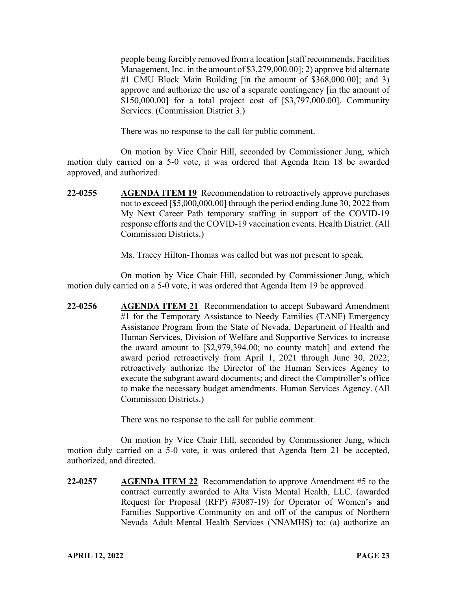people being forcibly removed from a location [staff recommends, Facilities Management, Inc. in the amount of \$3,279,000.00]; 2) approve bid alternate #1 CMU Block Main Building [in the amount of \$368,000.00]; and 3) approve and authorize the use of a separate contingency [in the amount of \$150,000.00] for a total project cost of [\$3,797,000.00]. Community Services. (Commission District 3.)

There was no response to the call for public comment.

On motion by Vice Chair Hill, seconded by Commissioner Jung, which motion duly carried on a 5-0 vote, it was ordered that Agenda Item 18 be awarded approved, and authorized.

**22-0255 AGENDA ITEM 19** Recommendation to retroactively approve purchases not to exceed [\$5,000,000.00] through the period ending June 30, 2022 from My Next Career Path temporary staffing in support of the COVID-19 response efforts and the COVID-19 vaccination events. Health District. (All Commission Districts.)

Ms. Tracey Hilton-Thomas was called but was not present to speak.

On motion by Vice Chair Hill, seconded by Commissioner Jung, which motion duly carried on a 5-0 vote, it was ordered that Agenda Item 19 be approved.

**22-0256 AGENDA ITEM 21** Recommendation to accept Subaward Amendment #1 for the Temporary Assistance to Needy Families (TANF) Emergency Assistance Program from the State of Nevada, Department of Health and Human Services, Division of Welfare and Supportive Services to increase the award amount to [\$2,979,394.00; no county match] and extend the award period retroactively from April 1, 2021 through June 30, 2022; retroactively authorize the Director of the Human Services Agency to execute the subgrant award documents; and direct the Comptroller's office to make the necessary budget amendments. Human Services Agency. (All Commission Districts.)

There was no response to the call for public comment.

On motion by Vice Chair Hill, seconded by Commissioner Jung, which motion duly carried on a 5-0 vote, it was ordered that Agenda Item 21 be accepted, authorized, and directed.

**22-0257 AGENDA ITEM 22** Recommendation to approve Amendment #5 to the contract currently awarded to Alta Vista Mental Health, LLC. (awarded Request for Proposal (RFP) #3087-19) for Operator of Women's and Families Supportive Community on and off of the campus of Northern Nevada Adult Mental Health Services (NNAMHS) to: (a) authorize an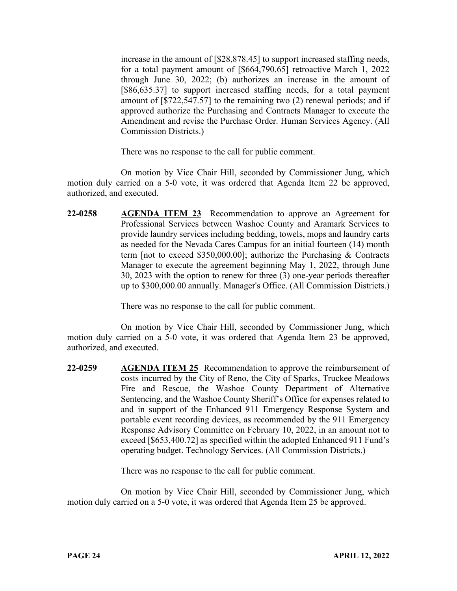increase in the amount of [\$28,878.45] to support increased staffing needs, for a total payment amount of [\$664,790.65] retroactive March 1, 2022 through June 30, 2022; (b) authorizes an increase in the amount of [\$86,635.37] to support increased staffing needs, for a total payment amount of [\$722,547.57] to the remaining two (2) renewal periods; and if approved authorize the Purchasing and Contracts Manager to execute the Amendment and revise the Purchase Order. Human Services Agency. (All Commission Districts.)

There was no response to the call for public comment.

On motion by Vice Chair Hill, seconded by Commissioner Jung, which motion duly carried on a 5-0 vote, it was ordered that Agenda Item 22 be approved, authorized, and executed.

**22-0258 AGENDA ITEM 23** Recommendation to approve an Agreement for Professional Services between Washoe County and Aramark Services to provide laundry services including bedding, towels, mops and laundry carts as needed for the Nevada Cares Campus for an initial fourteen (14) month term [not to exceed \$350,000.00]; authorize the Purchasing & Contracts Manager to execute the agreement beginning May 1, 2022, through June 30, 2023 with the option to renew for three (3) one-year periods thereafter up to \$300,000.00 annually. Manager's Office. (All Commission Districts.)

There was no response to the call for public comment.

On motion by Vice Chair Hill, seconded by Commissioner Jung, which motion duly carried on a 5-0 vote, it was ordered that Agenda Item 23 be approved, authorized, and executed.

**22-0259 AGENDA ITEM 25** Recommendation to approve the reimbursement of costs incurred by the City of Reno, the City of Sparks, Truckee Meadows Fire and Rescue, the Washoe County Department of Alternative Sentencing, and the Washoe County Sheriff's Office for expenses related to and in support of the Enhanced 911 Emergency Response System and portable event recording devices, as recommended by the 911 Emergency Response Advisory Committee on February 10, 2022, in an amount not to exceed [\$653,400.72] as specified within the adopted Enhanced 911 Fund's operating budget. Technology Services. (All Commission Districts.)

There was no response to the call for public comment.

On motion by Vice Chair Hill, seconded by Commissioner Jung, which motion duly carried on a 5-0 vote, it was ordered that Agenda Item 25 be approved.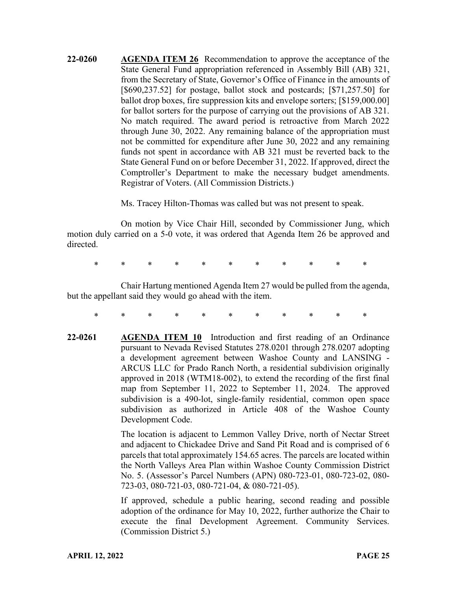**22-0260 AGENDA ITEM 26** Recommendation to approve the acceptance of the State General Fund appropriation referenced in Assembly Bill (AB) 321, from the Secretary of State, Governor's Office of Finance in the amounts of [\$690,237.52] for postage, ballot stock and postcards; [\$71,257.50] for ballot drop boxes, fire suppression kits and envelope sorters; [\$159,000.00] for ballot sorters for the purpose of carrying out the provisions of AB 321. No match required. The award period is retroactive from March 2022 through June 30, 2022. Any remaining balance of the appropriation must not be committed for expenditure after June 30, 2022 and any remaining funds not spent in accordance with AB 321 must be reverted back to the State General Fund on or before December 31, 2022. If approved, direct the Comptroller's Department to make the necessary budget amendments. Registrar of Voters. (All Commission Districts.)

Ms. Tracey Hilton-Thomas was called but was not present to speak.

On motion by Vice Chair Hill, seconded by Commissioner Jung, which motion duly carried on a 5-0 vote, it was ordered that Agenda Item 26 be approved and directed.

\* \* \* \* \* \* \* \* \* \* \*

Chair Hartung mentioned Agenda Item 27 would be pulled from the agenda, but the appellant said they would go ahead with the item.

- \* \* \* \* \* \* \* \* \* \* \*
- **22-0261 AGENDA ITEM 10** Introduction and first reading of an Ordinance pursuant to Nevada Revised Statutes 278.0201 through 278.0207 adopting a development agreement between Washoe County and LANSING - ARCUS LLC for Prado Ranch North, a residential subdivision originally approved in 2018 (WTM18-002), to extend the recording of the first final map from September 11, 2022 to September 11, 2024. The approved subdivision is a 490-lot, single-family residential, common open space subdivision as authorized in Article 408 of the Washoe County Development Code.

The location is adjacent to Lemmon Valley Drive, north of Nectar Street and adjacent to Chickadee Drive and Sand Pit Road and is comprised of 6 parcels that total approximately 154.65 acres. The parcels are located within the North Valleys Area Plan within Washoe County Commission District No. 5. (Assessor's Parcel Numbers (APN) 080-723-01, 080-723-02, 080- 723-03, 080-721-03, 080-721-04, & 080-721-05).

If approved, schedule a public hearing, second reading and possible adoption of the ordinance for May 10, 2022, further authorize the Chair to execute the final Development Agreement. Community Services. (Commission District 5.)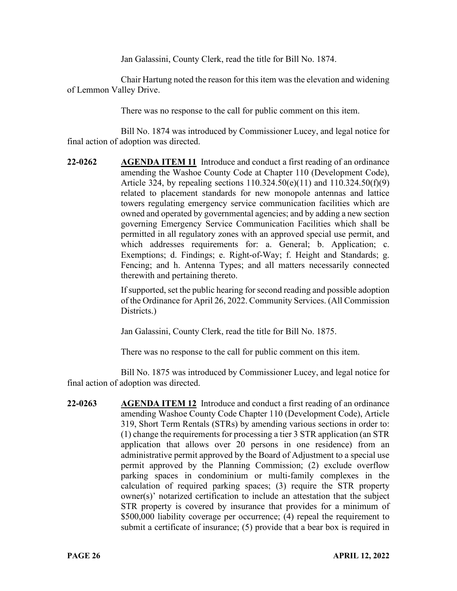Jan Galassini, County Clerk, read the title for Bill No. 1874.

Chair Hartung noted the reason for this item was the elevation and widening of Lemmon Valley Drive.

There was no response to the call for public comment on this item.

Bill No. 1874 was introduced by Commissioner Lucey, and legal notice for final action of adoption was directed.

**22-0262 AGENDA ITEM 11** Introduce and conduct a first reading of an ordinance amending the Washoe County Code at Chapter 110 (Development Code), Article 324, by repealing sections 110.324.50(e)(11) and 110.324.50(f)(9) related to placement standards for new monopole antennas and lattice towers regulating emergency service communication facilities which are owned and operated by governmental agencies; and by adding a new section governing Emergency Service Communication Facilities which shall be permitted in all regulatory zones with an approved special use permit, and which addresses requirements for: a. General; b. Application; c. Exemptions; d. Findings; e. Right-of-Way; f. Height and Standards; g. Fencing; and h. Antenna Types; and all matters necessarily connected therewith and pertaining thereto.

> If supported, set the public hearing for second reading and possible adoption of the Ordinance for April 26, 2022. Community Services. (All Commission Districts.)

Jan Galassini, County Clerk, read the title for Bill No. 1875.

There was no response to the call for public comment on this item.

Bill No. 1875 was introduced by Commissioner Lucey, and legal notice for final action of adoption was directed.

**22-0263 AGENDA ITEM 12** Introduce and conduct a first reading of an ordinance amending Washoe County Code Chapter 110 (Development Code), Article 319, Short Term Rentals (STRs) by amending various sections in order to: (1) change the requirements for processing a tier 3 STR application (an STR application that allows over 20 persons in one residence) from an administrative permit approved by the Board of Adjustment to a special use permit approved by the Planning Commission; (2) exclude overflow parking spaces in condominium or multi-family complexes in the calculation of required parking spaces; (3) require the STR property owner(s)' notarized certification to include an attestation that the subject STR property is covered by insurance that provides for a minimum of \$500,000 liability coverage per occurrence; (4) repeal the requirement to submit a certificate of insurance; (5) provide that a bear box is required in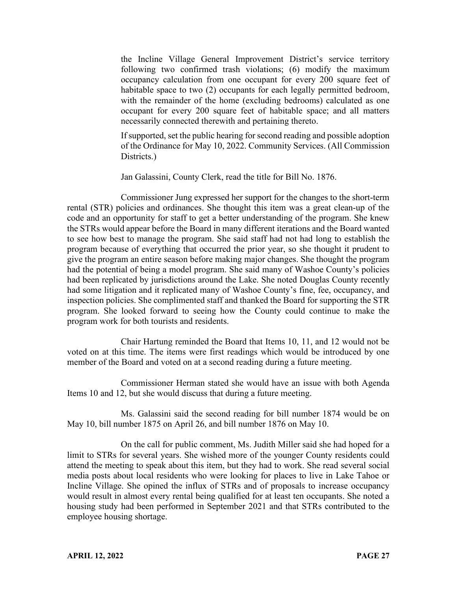the Incline Village General Improvement District's service territory following two confirmed trash violations; (6) modify the maximum occupancy calculation from one occupant for every 200 square feet of habitable space to two (2) occupants for each legally permitted bedroom, with the remainder of the home (excluding bedrooms) calculated as one occupant for every 200 square feet of habitable space; and all matters necessarily connected therewith and pertaining thereto.

If supported, set the public hearing for second reading and possible adoption of the Ordinance for May 10, 2022. Community Services. (All Commission Districts.)

Jan Galassini, County Clerk, read the title for Bill No. 1876.

Commissioner Jung expressed her support for the changes to the short-term rental (STR) policies and ordinances. She thought this item was a great clean-up of the code and an opportunity for staff to get a better understanding of the program. She knew the STRs would appear before the Board in many different iterations and the Board wanted to see how best to manage the program. She said staff had not had long to establish the program because of everything that occurred the prior year, so she thought it prudent to give the program an entire season before making major changes. She thought the program had the potential of being a model program. She said many of Washoe County's policies had been replicated by jurisdictions around the Lake. She noted Douglas County recently had some litigation and it replicated many of Washoe County's fine, fee, occupancy, and inspection policies. She complimented staff and thanked the Board for supporting the STR program. She looked forward to seeing how the County could continue to make the program work for both tourists and residents.

Chair Hartung reminded the Board that Items 10, 11, and 12 would not be voted on at this time. The items were first readings which would be introduced by one member of the Board and voted on at a second reading during a future meeting.

Commissioner Herman stated she would have an issue with both Agenda Items 10 and 12, but she would discuss that during a future meeting.

Ms. Galassini said the second reading for bill number 1874 would be on May 10, bill number 1875 on April 26, and bill number 1876 on May 10.

On the call for public comment, Ms. Judith Miller said she had hoped for a limit to STRs for several years. She wished more of the younger County residents could attend the meeting to speak about this item, but they had to work. She read several social media posts about local residents who were looking for places to live in Lake Tahoe or Incline Village. She opined the influx of STRs and of proposals to increase occupancy would result in almost every rental being qualified for at least ten occupants. She noted a housing study had been performed in September 2021 and that STRs contributed to the employee housing shortage.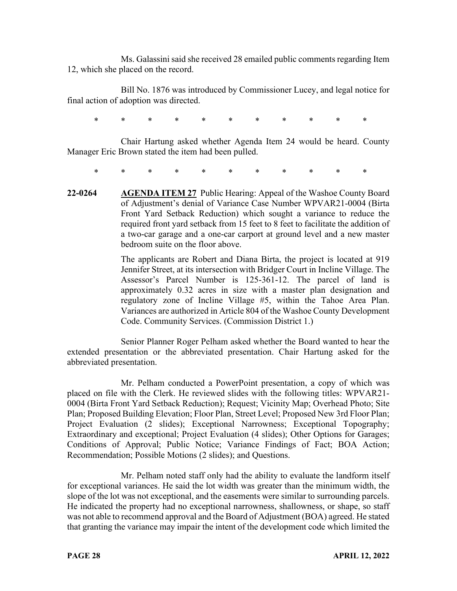Ms. Galassini said she received 28 emailed public comments regarding Item 12, which she placed on the record.

Bill No. 1876 was introduced by Commissioner Lucey, and legal notice for final action of adoption was directed.

\* \* \* \* \* \* \* \* \* \* \*

Chair Hartung asked whether Agenda Item 24 would be heard. County Manager Eric Brown stated the item had been pulled.

\* \* \* \* \* \* \* \* \* \* \*

**22-0264 AGENDA ITEM 27** Public Hearing: Appeal of the Washoe County Board of Adjustment's denial of Variance Case Number WPVAR21-0004 (Birta Front Yard Setback Reduction) which sought a variance to reduce the required front yard setback from 15 feet to 8 feet to facilitate the addition of a two-car garage and a one-car carport at ground level and a new master bedroom suite on the floor above.

> The applicants are Robert and Diana Birta, the project is located at 919 Jennifer Street, at its intersection with Bridger Court in Incline Village. The Assessor's Parcel Number is 125-361-12. The parcel of land is approximately 0.32 acres in size with a master plan designation and regulatory zone of Incline Village #5, within the Tahoe Area Plan. Variances are authorized in Article 804 of the Washoe County Development Code. Community Services. (Commission District 1.)

Senior Planner Roger Pelham asked whether the Board wanted to hear the extended presentation or the abbreviated presentation. Chair Hartung asked for the abbreviated presentation.

Mr. Pelham conducted a PowerPoint presentation, a copy of which was placed on file with the Clerk. He reviewed slides with the following titles: WPVAR21- 0004 (Birta Front Yard Setback Reduction); Request; Vicinity Map; Overhead Photo; Site Plan; Proposed Building Elevation; Floor Plan, Street Level; Proposed New 3rd Floor Plan; Project Evaluation (2 slides); Exceptional Narrowness; Exceptional Topography; Extraordinary and exceptional; Project Evaluation (4 slides); Other Options for Garages; Conditions of Approval; Public Notice; Variance Findings of Fact; BOA Action; Recommendation; Possible Motions (2 slides); and Questions.

Mr. Pelham noted staff only had the ability to evaluate the landform itself for exceptional variances. He said the lot width was greater than the minimum width, the slope of the lot was not exceptional, and the easements were similar to surrounding parcels. He indicated the property had no exceptional narrowness, shallowness, or shape, so staff was not able to recommend approval and the Board of Adjustment (BOA) agreed. He stated that granting the variance may impair the intent of the development code which limited the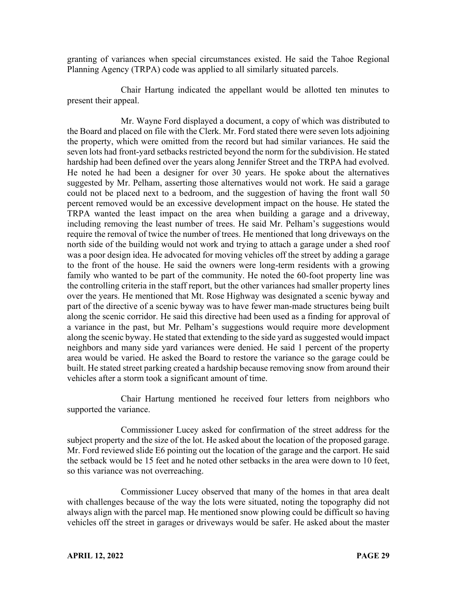granting of variances when special circumstances existed. He said the Tahoe Regional Planning Agency (TRPA) code was applied to all similarly situated parcels.

Chair Hartung indicated the appellant would be allotted ten minutes to present their appeal.

Mr. Wayne Ford displayed a document, a copy of which was distributed to the Board and placed on file with the Clerk. Mr. Ford stated there were seven lots adjoining the property, which were omitted from the record but had similar variances. He said the seven lots had front-yard setbacks restricted beyond the norm for the subdivision. He stated hardship had been defined over the years along Jennifer Street and the TRPA had evolved. He noted he had been a designer for over 30 years. He spoke about the alternatives suggested by Mr. Pelham, asserting those alternatives would not work. He said a garage could not be placed next to a bedroom, and the suggestion of having the front wall 50 percent removed would be an excessive development impact on the house. He stated the TRPA wanted the least impact on the area when building a garage and a driveway, including removing the least number of trees. He said Mr. Pelham's suggestions would require the removal of twice the number of trees. He mentioned that long driveways on the north side of the building would not work and trying to attach a garage under a shed roof was a poor design idea. He advocated for moving vehicles off the street by adding a garage to the front of the house. He said the owners were long-term residents with a growing family who wanted to be part of the community. He noted the 60-foot property line was the controlling criteria in the staff report, but the other variances had smaller property lines over the years. He mentioned that Mt. Rose Highway was designated a scenic byway and part of the directive of a scenic byway was to have fewer man-made structures being built along the scenic corridor. He said this directive had been used as a finding for approval of a variance in the past, but Mr. Pelham's suggestions would require more development along the scenic byway. He stated that extending to the side yard as suggested would impact neighbors and many side yard variances were denied. He said 1 percent of the property area would be varied. He asked the Board to restore the variance so the garage could be built. He stated street parking created a hardship because removing snow from around their vehicles after a storm took a significant amount of time.

Chair Hartung mentioned he received four letters from neighbors who supported the variance.

Commissioner Lucey asked for confirmation of the street address for the subject property and the size of the lot. He asked about the location of the proposed garage. Mr. Ford reviewed slide E6 pointing out the location of the garage and the carport. He said the setback would be 15 feet and he noted other setbacks in the area were down to 10 feet, so this variance was not overreaching.

Commissioner Lucey observed that many of the homes in that area dealt with challenges because of the way the lots were situated, noting the topography did not always align with the parcel map. He mentioned snow plowing could be difficult so having vehicles off the street in garages or driveways would be safer. He asked about the master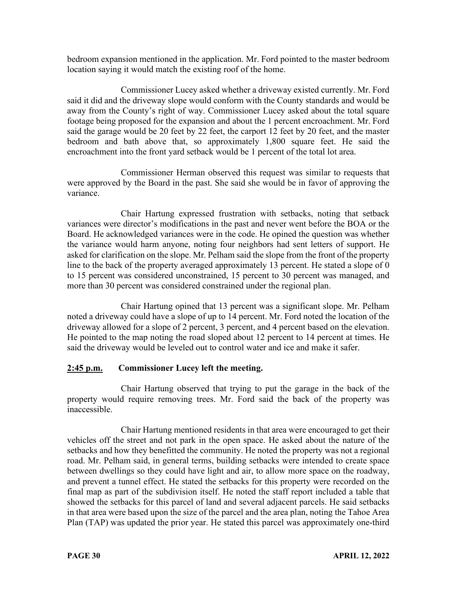bedroom expansion mentioned in the application. Mr. Ford pointed to the master bedroom location saying it would match the existing roof of the home.

Commissioner Lucey asked whether a driveway existed currently. Mr. Ford said it did and the driveway slope would conform with the County standards and would be away from the County's right of way. Commissioner Lucey asked about the total square footage being proposed for the expansion and about the 1 percent encroachment. Mr. Ford said the garage would be 20 feet by 22 feet, the carport 12 feet by 20 feet, and the master bedroom and bath above that, so approximately 1,800 square feet. He said the encroachment into the front yard setback would be 1 percent of the total lot area.

Commissioner Herman observed this request was similar to requests that were approved by the Board in the past. She said she would be in favor of approving the variance.

Chair Hartung expressed frustration with setbacks, noting that setback variances were director's modifications in the past and never went before the BOA or the Board. He acknowledged variances were in the code. He opined the question was whether the variance would harm anyone, noting four neighbors had sent letters of support. He asked for clarification on the slope. Mr. Pelham said the slope from the front of the property line to the back of the property averaged approximately 13 percent. He stated a slope of 0 to 15 percent was considered unconstrained, 15 percent to 30 percent was managed, and more than 30 percent was considered constrained under the regional plan.

Chair Hartung opined that 13 percent was a significant slope. Mr. Pelham noted a driveway could have a slope of up to 14 percent. Mr. Ford noted the location of the driveway allowed for a slope of 2 percent, 3 percent, and 4 percent based on the elevation. He pointed to the map noting the road sloped about 12 percent to 14 percent at times. He said the driveway would be leveled out to control water and ice and make it safer.

# **2:45 p.m. Commissioner Lucey left the meeting.**

Chair Hartung observed that trying to put the garage in the back of the property would require removing trees. Mr. Ford said the back of the property was inaccessible.

Chair Hartung mentioned residents in that area were encouraged to get their vehicles off the street and not park in the open space. He asked about the nature of the setbacks and how they benefitted the community. He noted the property was not a regional road. Mr. Pelham said, in general terms, building setbacks were intended to create space between dwellings so they could have light and air, to allow more space on the roadway, and prevent a tunnel effect. He stated the setbacks for this property were recorded on the final map as part of the subdivision itself. He noted the staff report included a table that showed the setbacks for this parcel of land and several adjacent parcels. He said setbacks in that area were based upon the size of the parcel and the area plan, noting the Tahoe Area Plan (TAP) was updated the prior year. He stated this parcel was approximately one-third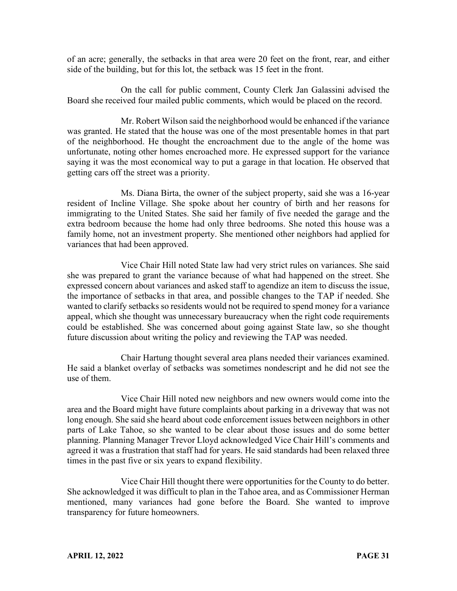of an acre; generally, the setbacks in that area were 20 feet on the front, rear, and either side of the building, but for this lot, the setback was 15 feet in the front.

On the call for public comment, County Clerk Jan Galassini advised the Board she received four mailed public comments, which would be placed on the record.

Mr. Robert Wilson said the neighborhood would be enhanced if the variance was granted. He stated that the house was one of the most presentable homes in that part of the neighborhood. He thought the encroachment due to the angle of the home was unfortunate, noting other homes encroached more. He expressed support for the variance saying it was the most economical way to put a garage in that location. He observed that getting cars off the street was a priority.

Ms. Diana Birta, the owner of the subject property, said she was a 16-year resident of Incline Village. She spoke about her country of birth and her reasons for immigrating to the United States. She said her family of five needed the garage and the extra bedroom because the home had only three bedrooms. She noted this house was a family home, not an investment property. She mentioned other neighbors had applied for variances that had been approved.

Vice Chair Hill noted State law had very strict rules on variances. She said she was prepared to grant the variance because of what had happened on the street. She expressed concern about variances and asked staff to agendize an item to discuss the issue, the importance of setbacks in that area, and possible changes to the TAP if needed. She wanted to clarify setbacks so residents would not be required to spend money for a variance appeal, which she thought was unnecessary bureaucracy when the right code requirements could be established. She was concerned about going against State law, so she thought future discussion about writing the policy and reviewing the TAP was needed.

Chair Hartung thought several area plans needed their variances examined. He said a blanket overlay of setbacks was sometimes nondescript and he did not see the use of them.

Vice Chair Hill noted new neighbors and new owners would come into the area and the Board might have future complaints about parking in a driveway that was not long enough. She said she heard about code enforcement issues between neighbors in other parts of Lake Tahoe, so she wanted to be clear about those issues and do some better planning. Planning Manager Trevor Lloyd acknowledged Vice Chair Hill's comments and agreed it was a frustration that staff had for years. He said standards had been relaxed three times in the past five or six years to expand flexibility.

Vice Chair Hill thought there were opportunities for the County to do better. She acknowledged it was difficult to plan in the Tahoe area, and as Commissioner Herman mentioned, many variances had gone before the Board. She wanted to improve transparency for future homeowners.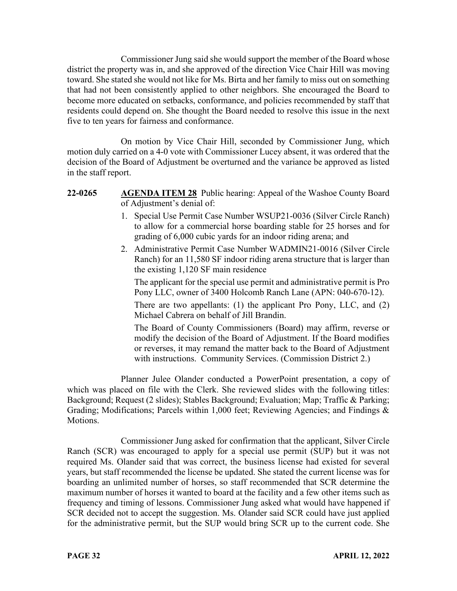Commissioner Jung said she would support the member of the Board whose district the property was in, and she approved of the direction Vice Chair Hill was moving toward. She stated she would not like for Ms. Birta and her family to miss out on something that had not been consistently applied to other neighbors. She encouraged the Board to become more educated on setbacks, conformance, and policies recommended by staff that residents could depend on. She thought the Board needed to resolve this issue in the next five to ten years for fairness and conformance.

On motion by Vice Chair Hill, seconded by Commissioner Jung, which motion duly carried on a 4-0 vote with Commissioner Lucey absent, it was ordered that the decision of the Board of Adjustment be overturned and the variance be approved as listed in the staff report.

## **22-0265 AGENDA ITEM 28** Public hearing: Appeal of the Washoe County Board of Adjustment's denial of:

- 1. Special Use Permit Case Number WSUP21-0036 (Silver Circle Ranch) to allow for a commercial horse boarding stable for 25 horses and for grading of 6,000 cubic yards for an indoor riding arena; and
- 2. Administrative Permit Case Number WADMIN21-0016 (Silver Circle Ranch) for an 11,580 SF indoor riding arena structure that is larger than the existing 1,120 SF main residence

The applicant for the special use permit and administrative permit is Pro Pony LLC, owner of 3400 Holcomb Ranch Lane (APN: 040-670-12).

There are two appellants: (1) the applicant Pro Pony, LLC, and (2) Michael Cabrera on behalf of Jill Brandin.

The Board of County Commissioners (Board) may affirm, reverse or modify the decision of the Board of Adjustment. If the Board modifies or reverses, it may remand the matter back to the Board of Adjustment with instructions. Community Services. (Commission District 2.)

Planner Julee Olander conducted a PowerPoint presentation, a copy of which was placed on file with the Clerk. She reviewed slides with the following titles: Background; Request (2 slides); Stables Background; Evaluation; Map; Traffic & Parking; Grading; Modifications; Parcels within 1,000 feet; Reviewing Agencies; and Findings & Motions.

Commissioner Jung asked for confirmation that the applicant, Silver Circle Ranch (SCR) was encouraged to apply for a special use permit (SUP) but it was not required Ms. Olander said that was correct, the business license had existed for several years, but staff recommended the license be updated. She stated the current license was for boarding an unlimited number of horses, so staff recommended that SCR determine the maximum number of horses it wanted to board at the facility and a few other items such as frequency and timing of lessons. Commissioner Jung asked what would have happened if SCR decided not to accept the suggestion. Ms. Olander said SCR could have just applied for the administrative permit, but the SUP would bring SCR up to the current code. She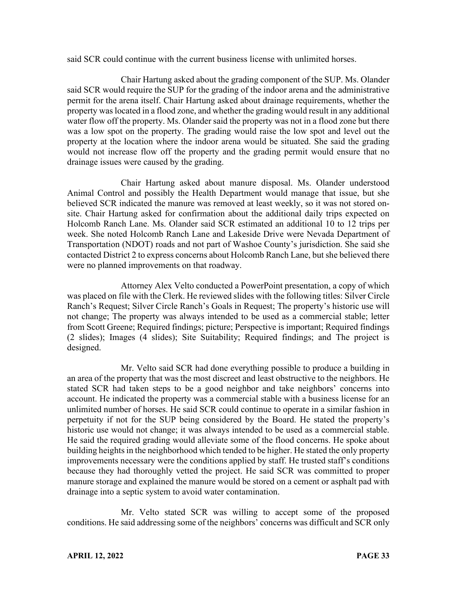said SCR could continue with the current business license with unlimited horses.

Chair Hartung asked about the grading component of the SUP. Ms. Olander said SCR would require the SUP for the grading of the indoor arena and the administrative permit for the arena itself. Chair Hartung asked about drainage requirements, whether the property was located in a flood zone, and whether the grading would result in any additional water flow off the property. Ms. Olander said the property was not in a flood zone but there was a low spot on the property. The grading would raise the low spot and level out the property at the location where the indoor arena would be situated. She said the grading would not increase flow off the property and the grading permit would ensure that no drainage issues were caused by the grading.

Chair Hartung asked about manure disposal. Ms. Olander understood Animal Control and possibly the Health Department would manage that issue, but she believed SCR indicated the manure was removed at least weekly, so it was not stored onsite. Chair Hartung asked for confirmation about the additional daily trips expected on Holcomb Ranch Lane. Ms. Olander said SCR estimated an additional 10 to 12 trips per week. She noted Holcomb Ranch Lane and Lakeside Drive were Nevada Department of Transportation (NDOT) roads and not part of Washoe County's jurisdiction. She said she contacted District 2 to express concerns about Holcomb Ranch Lane, but she believed there were no planned improvements on that roadway.

Attorney Alex Velto conducted a PowerPoint presentation, a copy of which was placed on file with the Clerk. He reviewed slides with the following titles: Silver Circle Ranch's Request; Silver Circle Ranch's Goals in Request; The property's historic use will not change; The property was always intended to be used as a commercial stable; letter from Scott Greene; Required findings; picture; Perspective is important; Required findings (2 slides); Images (4 slides); Site Suitability; Required findings; and The project is designed.

Mr. Velto said SCR had done everything possible to produce a building in an area of the property that was the most discreet and least obstructive to the neighbors. He stated SCR had taken steps to be a good neighbor and take neighbors' concerns into account. He indicated the property was a commercial stable with a business license for an unlimited number of horses. He said SCR could continue to operate in a similar fashion in perpetuity if not for the SUP being considered by the Board. He stated the property's historic use would not change; it was always intended to be used as a commercial stable. He said the required grading would alleviate some of the flood concerns. He spoke about building heights in the neighborhood which tended to be higher. He stated the only property improvements necessary were the conditions applied by staff. He trusted staff's conditions because they had thoroughly vetted the project. He said SCR was committed to proper manure storage and explained the manure would be stored on a cement or asphalt pad with drainage into a septic system to avoid water contamination.

Mr. Velto stated SCR was willing to accept some of the proposed conditions. He said addressing some of the neighbors' concerns was difficult and SCR only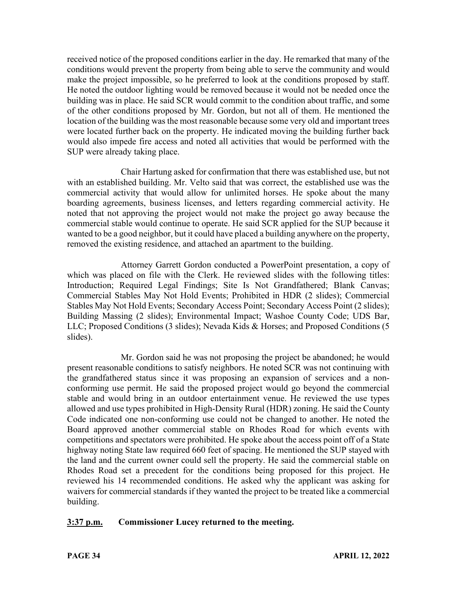received notice of the proposed conditions earlier in the day. He remarked that many of the conditions would prevent the property from being able to serve the community and would make the project impossible, so he preferred to look at the conditions proposed by staff. He noted the outdoor lighting would be removed because it would not be needed once the building was in place. He said SCR would commit to the condition about traffic, and some of the other conditions proposed by Mr. Gordon, but not all of them. He mentioned the location of the building was the most reasonable because some very old and important trees were located further back on the property. He indicated moving the building further back would also impede fire access and noted all activities that would be performed with the SUP were already taking place.

Chair Hartung asked for confirmation that there was established use, but not with an established building. Mr. Velto said that was correct, the established use was the commercial activity that would allow for unlimited horses. He spoke about the many boarding agreements, business licenses, and letters regarding commercial activity. He noted that not approving the project would not make the project go away because the commercial stable would continue to operate. He said SCR applied for the SUP because it wanted to be a good neighbor, but it could have placed a building anywhere on the property, removed the existing residence, and attached an apartment to the building.

Attorney Garrett Gordon conducted a PowerPoint presentation, a copy of which was placed on file with the Clerk. He reviewed slides with the following titles: Introduction; Required Legal Findings; Site Is Not Grandfathered; Blank Canvas; Commercial Stables May Not Hold Events; Prohibited in HDR (2 slides); Commercial Stables May Not Hold Events; Secondary Access Point; Secondary Access Point (2 slides); Building Massing (2 slides); Environmental Impact; Washoe County Code; UDS Bar, LLC; Proposed Conditions (3 slides); Nevada Kids & Horses; and Proposed Conditions (5 slides).

Mr. Gordon said he was not proposing the project be abandoned; he would present reasonable conditions to satisfy neighbors. He noted SCR was not continuing with the grandfathered status since it was proposing an expansion of services and a nonconforming use permit. He said the proposed project would go beyond the commercial stable and would bring in an outdoor entertainment venue. He reviewed the use types allowed and use types prohibited in High-Density Rural (HDR) zoning. He said the County Code indicated one non-conforming use could not be changed to another. He noted the Board approved another commercial stable on Rhodes Road for which events with competitions and spectators were prohibited. He spoke about the access point off of a State highway noting State law required 660 feet of spacing. He mentioned the SUP stayed with the land and the current owner could sell the property. He said the commercial stable on Rhodes Road set a precedent for the conditions being proposed for this project. He reviewed his 14 recommended conditions. He asked why the applicant was asking for waivers for commercial standards if they wanted the project to be treated like a commercial building.

# **3:37 p.m. Commissioner Lucey returned to the meeting.**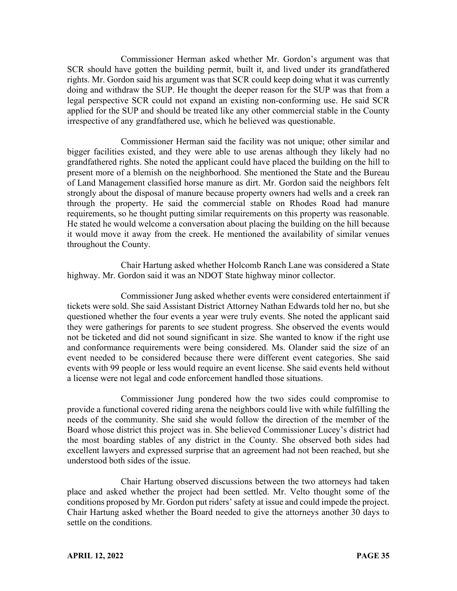Commissioner Herman asked whether Mr. Gordon's argument was that SCR should have gotten the building permit, built it, and lived under its grandfathered rights. Mr. Gordon said his argument was that SCR could keep doing what it was currently doing and withdraw the SUP. He thought the deeper reason for the SUP was that from a legal perspective SCR could not expand an existing non-conforming use. He said SCR applied for the SUP and should be treated like any other commercial stable in the County irrespective of any grandfathered use, which he believed was questionable.

Commissioner Herman said the facility was not unique; other similar and bigger facilities existed, and they were able to use arenas although they likely had no grandfathered rights. She noted the applicant could have placed the building on the hill to present more of a blemish on the neighborhood. She mentioned the State and the Bureau of Land Management classified horse manure as dirt. Mr. Gordon said the neighbors felt strongly about the disposal of manure because property owners had wells and a creek ran through the property. He said the commercial stable on Rhodes Road had manure requirements, so he thought putting similar requirements on this property was reasonable. He stated he would welcome a conversation about placing the building on the hill because it would move it away from the creek. He mentioned the availability of similar venues throughout the County.

Chair Hartung asked whether Holcomb Ranch Lane was considered a State highway. Mr. Gordon said it was an NDOT State highway minor collector.

Commissioner Jung asked whether events were considered entertainment if tickets were sold. She said Assistant District Attorney Nathan Edwards told her no, but she questioned whether the four events a year were truly events. She noted the applicant said they were gatherings for parents to see student progress. She observed the events would not be ticketed and did not sound significant in size. She wanted to know if the right use and conformance requirements were being considered. Ms. Olander said the size of an event needed to be considered because there were different event categories. She said events with 99 people or less would require an event license. She said events held without a license were not legal and code enforcement handled those situations.

Commissioner Jung pondered how the two sides could compromise to provide a functional covered riding arena the neighbors could live with while fulfilling the needs of the community. She said she would follow the direction of the member of the Board whose district this project was in. She believed Commissioner Lucey's district had the most boarding stables of any district in the County. She observed both sides had excellent lawyers and expressed surprise that an agreement had not been reached, but she understood both sides of the issue.

Chair Hartung observed discussions between the two attorneys had taken place and asked whether the project had been settled. Mr. Velto thought some of the conditions proposed by Mr. Gordon put riders' safety at issue and could impede the project. Chair Hartung asked whether the Board needed to give the attorneys another 30 days to settle on the conditions.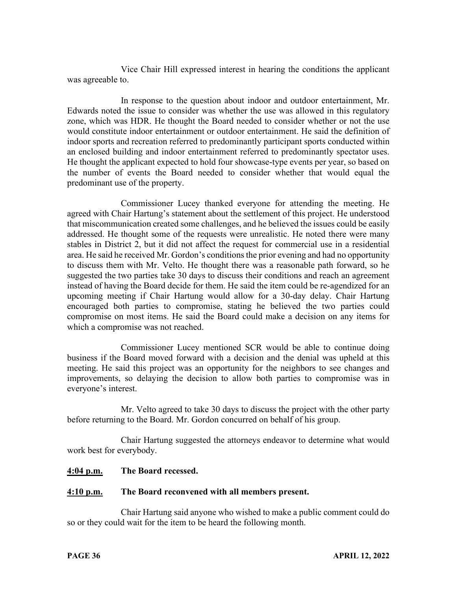Vice Chair Hill expressed interest in hearing the conditions the applicant was agreeable to.

In response to the question about indoor and outdoor entertainment, Mr. Edwards noted the issue to consider was whether the use was allowed in this regulatory zone, which was HDR. He thought the Board needed to consider whether or not the use would constitute indoor entertainment or outdoor entertainment. He said the definition of indoor sports and recreation referred to predominantly participant sports conducted within an enclosed building and indoor entertainment referred to predominantly spectator uses. He thought the applicant expected to hold four showcase-type events per year, so based on the number of events the Board needed to consider whether that would equal the predominant use of the property.

Commissioner Lucey thanked everyone for attending the meeting. He agreed with Chair Hartung's statement about the settlement of this project. He understood that miscommunication created some challenges, and he believed the issues could be easily addressed. He thought some of the requests were unrealistic. He noted there were many stables in District 2, but it did not affect the request for commercial use in a residential area. He said he received Mr. Gordon's conditions the prior evening and had no opportunity to discuss them with Mr. Velto. He thought there was a reasonable path forward, so he suggested the two parties take 30 days to discuss their conditions and reach an agreement instead of having the Board decide for them. He said the item could be re-agendized for an upcoming meeting if Chair Hartung would allow for a 30-day delay. Chair Hartung encouraged both parties to compromise, stating he believed the two parties could compromise on most items. He said the Board could make a decision on any items for which a compromise was not reached.

Commissioner Lucey mentioned SCR would be able to continue doing business if the Board moved forward with a decision and the denial was upheld at this meeting. He said this project was an opportunity for the neighbors to see changes and improvements, so delaying the decision to allow both parties to compromise was in everyone's interest.

Mr. Velto agreed to take 30 days to discuss the project with the other party before returning to the Board. Mr. Gordon concurred on behalf of his group.

Chair Hartung suggested the attorneys endeavor to determine what would work best for everybody.

### **4:04 p.m. The Board recessed.**

### **4:10 p.m. The Board reconvened with all members present.**

Chair Hartung said anyone who wished to make a public comment could do so or they could wait for the item to be heard the following month.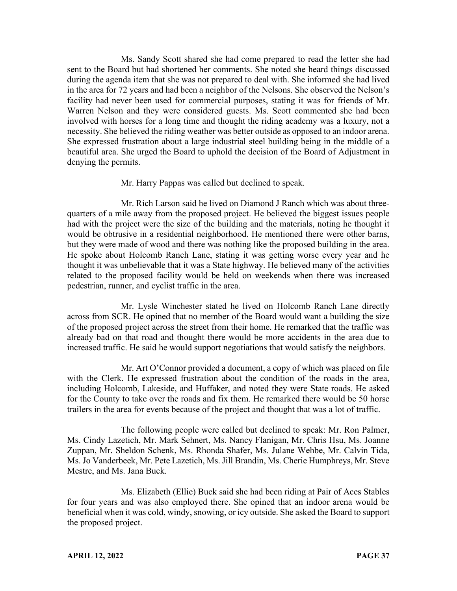Ms. Sandy Scott shared she had come prepared to read the letter she had sent to the Board but had shortened her comments. She noted she heard things discussed during the agenda item that she was not prepared to deal with. She informed she had lived in the area for 72 years and had been a neighbor of the Nelsons. She observed the Nelson's facility had never been used for commercial purposes, stating it was for friends of Mr. Warren Nelson and they were considered guests. Ms. Scott commented she had been involved with horses for a long time and thought the riding academy was a luxury, not a necessity. She believed the riding weather was better outside as opposed to an indoor arena. She expressed frustration about a large industrial steel building being in the middle of a beautiful area. She urged the Board to uphold the decision of the Board of Adjustment in denying the permits.

Mr. Harry Pappas was called but declined to speak.

Mr. Rich Larson said he lived on Diamond J Ranch which was about threequarters of a mile away from the proposed project. He believed the biggest issues people had with the project were the size of the building and the materials, noting he thought it would be obtrusive in a residential neighborhood. He mentioned there were other barns, but they were made of wood and there was nothing like the proposed building in the area. He spoke about Holcomb Ranch Lane, stating it was getting worse every year and he thought it was unbelievable that it was a State highway. He believed many of the activities related to the proposed facility would be held on weekends when there was increased pedestrian, runner, and cyclist traffic in the area.

Mr. Lysle Winchester stated he lived on Holcomb Ranch Lane directly across from SCR. He opined that no member of the Board would want a building the size of the proposed project across the street from their home. He remarked that the traffic was already bad on that road and thought there would be more accidents in the area due to increased traffic. He said he would support negotiations that would satisfy the neighbors.

Mr. Art O'Connor provided a document, a copy of which was placed on file with the Clerk. He expressed frustration about the condition of the roads in the area, including Holcomb, Lakeside, and Huffaker, and noted they were State roads. He asked for the County to take over the roads and fix them. He remarked there would be 50 horse trailers in the area for events because of the project and thought that was a lot of traffic.

The following people were called but declined to speak: Mr. Ron Palmer, Ms. Cindy Lazetich, Mr. Mark Sehnert, Ms. Nancy Flanigan, Mr. Chris Hsu, Ms. Joanne Zuppan, Mr. Sheldon Schenk, Ms. Rhonda Shafer, Ms. Julane Wehbe, Mr. Calvin Tida, Ms. Jo Vanderbeek, Mr. Pete Lazetich, Ms. Jill Brandin, Ms. Cherie Humphreys, Mr. Steve Mestre, and Ms. Jana Buck.

Ms. Elizabeth (Ellie) Buck said she had been riding at Pair of Aces Stables for four years and was also employed there. She opined that an indoor arena would be beneficial when it was cold, windy, snowing, or icy outside. She asked the Board to support the proposed project.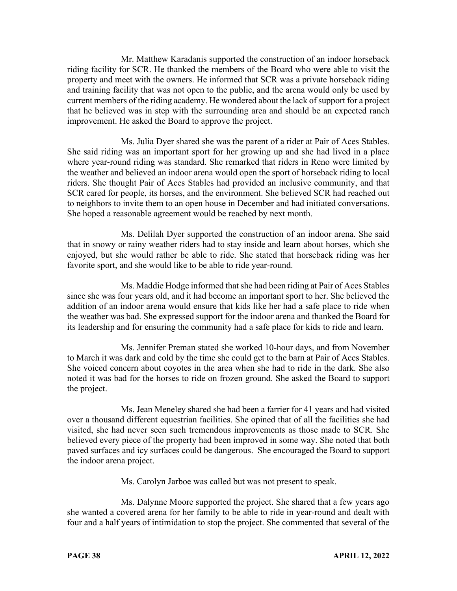Mr. Matthew Karadanis supported the construction of an indoor horseback riding facility for SCR. He thanked the members of the Board who were able to visit the property and meet with the owners. He informed that SCR was a private horseback riding and training facility that was not open to the public, and the arena would only be used by current members of the riding academy. He wondered about the lack of support for a project that he believed was in step with the surrounding area and should be an expected ranch improvement. He asked the Board to approve the project.

Ms. Julia Dyer shared she was the parent of a rider at Pair of Aces Stables. She said riding was an important sport for her growing up and she had lived in a place where year-round riding was standard. She remarked that riders in Reno were limited by the weather and believed an indoor arena would open the sport of horseback riding to local riders. She thought Pair of Aces Stables had provided an inclusive community, and that SCR cared for people, its horses, and the environment. She believed SCR had reached out to neighbors to invite them to an open house in December and had initiated conversations. She hoped a reasonable agreement would be reached by next month.

Ms. Delilah Dyer supported the construction of an indoor arena. She said that in snowy or rainy weather riders had to stay inside and learn about horses, which she enjoyed, but she would rather be able to ride. She stated that horseback riding was her favorite sport, and she would like to be able to ride year-round.

Ms. Maddie Hodge informed that she had been riding at Pair of Aces Stables since she was four years old, and it had become an important sport to her. She believed the addition of an indoor arena would ensure that kids like her had a safe place to ride when the weather was bad. She expressed support for the indoor arena and thanked the Board for its leadership and for ensuring the community had a safe place for kids to ride and learn.

Ms. Jennifer Preman stated she worked 10-hour days, and from November to March it was dark and cold by the time she could get to the barn at Pair of Aces Stables. She voiced concern about coyotes in the area when she had to ride in the dark. She also noted it was bad for the horses to ride on frozen ground. She asked the Board to support the project.

Ms. Jean Meneley shared she had been a farrier for 41 years and had visited over a thousand different equestrian facilities. She opined that of all the facilities she had visited, she had never seen such tremendous improvements as those made to SCR. She believed every piece of the property had been improved in some way. She noted that both paved surfaces and icy surfaces could be dangerous. She encouraged the Board to support the indoor arena project.

Ms. Carolyn Jarboe was called but was not present to speak.

Ms. Dalynne Moore supported the project. She shared that a few years ago she wanted a covered arena for her family to be able to ride in year-round and dealt with four and a half years of intimidation to stop the project. She commented that several of the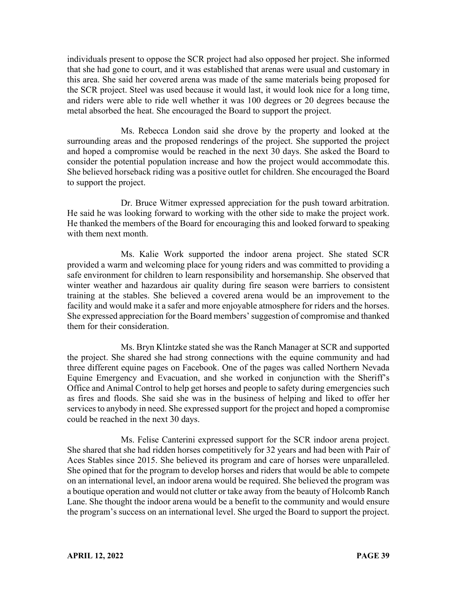individuals present to oppose the SCR project had also opposed her project. She informed that she had gone to court, and it was established that arenas were usual and customary in this area. She said her covered arena was made of the same materials being proposed for the SCR project. Steel was used because it would last, it would look nice for a long time, and riders were able to ride well whether it was 100 degrees or 20 degrees because the metal absorbed the heat. She encouraged the Board to support the project.

Ms. Rebecca London said she drove by the property and looked at the surrounding areas and the proposed renderings of the project. She supported the project and hoped a compromise would be reached in the next 30 days. She asked the Board to consider the potential population increase and how the project would accommodate this. She believed horseback riding was a positive outlet for children. She encouraged the Board to support the project.

Dr. Bruce Witmer expressed appreciation for the push toward arbitration. He said he was looking forward to working with the other side to make the project work. He thanked the members of the Board for encouraging this and looked forward to speaking with them next month.

Ms. Kalie Work supported the indoor arena project. She stated SCR provided a warm and welcoming place for young riders and was committed to providing a safe environment for children to learn responsibility and horsemanship. She observed that winter weather and hazardous air quality during fire season were barriers to consistent training at the stables. She believed a covered arena would be an improvement to the facility and would make it a safer and more enjoyable atmosphere for riders and the horses. She expressed appreciation for the Board members' suggestion of compromise and thanked them for their consideration.

Ms. Bryn Klintzke stated she was the Ranch Manager at SCR and supported the project. She shared she had strong connections with the equine community and had three different equine pages on Facebook. One of the pages was called Northern Nevada Equine Emergency and Evacuation, and she worked in conjunction with the Sheriff's Office and Animal Control to help get horses and people to safety during emergencies such as fires and floods. She said she was in the business of helping and liked to offer her services to anybody in need. She expressed support for the project and hoped a compromise could be reached in the next 30 days.

Ms. Felise Canterini expressed support for the SCR indoor arena project. She shared that she had ridden horses competitively for 32 years and had been with Pair of Aces Stables since 2015. She believed its program and care of horses were unparalleled. She opined that for the program to develop horses and riders that would be able to compete on an international level, an indoor arena would be required. She believed the program was a boutique operation and would not clutter or take away from the beauty of Holcomb Ranch Lane. She thought the indoor arena would be a benefit to the community and would ensure the program's success on an international level. She urged the Board to support the project.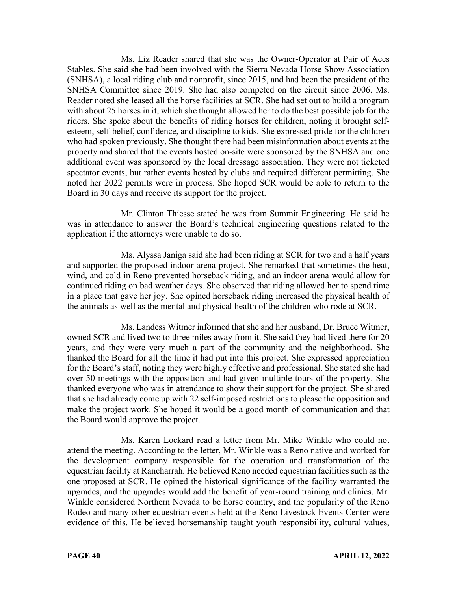Ms. Liz Reader shared that she was the Owner-Operator at Pair of Aces Stables. She said she had been involved with the Sierra Nevada Horse Show Association (SNHSA), a local riding club and nonprofit, since 2015, and had been the president of the SNHSA Committee since 2019. She had also competed on the circuit since 2006. Ms. Reader noted she leased all the horse facilities at SCR. She had set out to build a program with about 25 horses in it, which she thought allowed her to do the best possible job for the riders. She spoke about the benefits of riding horses for children, noting it brought selfesteem, self-belief, confidence, and discipline to kids. She expressed pride for the children who had spoken previously. She thought there had been misinformation about events at the property and shared that the events hosted on-site were sponsored by the SNHSA and one additional event was sponsored by the local dressage association. They were not ticketed spectator events, but rather events hosted by clubs and required different permitting. She noted her 2022 permits were in process. She hoped SCR would be able to return to the Board in 30 days and receive its support for the project.

Mr. Clinton Thiesse stated he was from Summit Engineering. He said he was in attendance to answer the Board's technical engineering questions related to the application if the attorneys were unable to do so.

Ms. Alyssa Janiga said she had been riding at SCR for two and a half years and supported the proposed indoor arena project. She remarked that sometimes the heat, wind, and cold in Reno prevented horseback riding, and an indoor arena would allow for continued riding on bad weather days. She observed that riding allowed her to spend time in a place that gave her joy. She opined horseback riding increased the physical health of the animals as well as the mental and physical health of the children who rode at SCR.

Ms. Landess Witmer informed that she and her husband, Dr. Bruce Witmer, owned SCR and lived two to three miles away from it. She said they had lived there for 20 years, and they were very much a part of the community and the neighborhood. She thanked the Board for all the time it had put into this project. She expressed appreciation for the Board's staff, noting they were highly effective and professional. She stated she had over 50 meetings with the opposition and had given multiple tours of the property. She thanked everyone who was in attendance to show their support for the project. She shared that she had already come up with 22 self-imposed restrictions to please the opposition and make the project work. She hoped it would be a good month of communication and that the Board would approve the project.

Ms. Karen Lockard read a letter from Mr. Mike Winkle who could not attend the meeting. According to the letter, Mr. Winkle was a Reno native and worked for the development company responsible for the operation and transformation of the equestrian facility at Rancharrah. He believed Reno needed equestrian facilities such as the one proposed at SCR. He opined the historical significance of the facility warranted the upgrades, and the upgrades would add the benefit of year-round training and clinics. Mr. Winkle considered Northern Nevada to be horse country, and the popularity of the Reno Rodeo and many other equestrian events held at the Reno Livestock Events Center were evidence of this. He believed horsemanship taught youth responsibility, cultural values,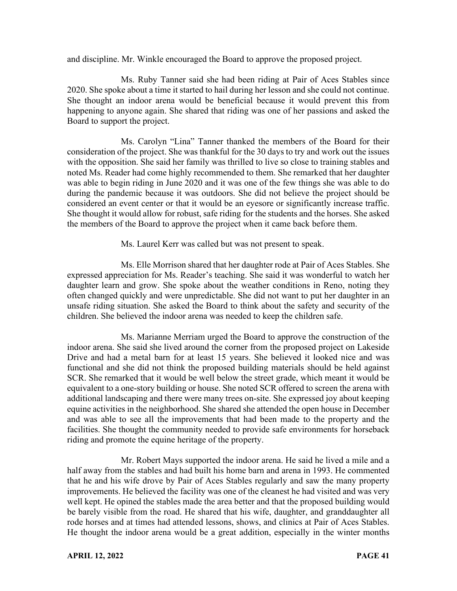and discipline. Mr. Winkle encouraged the Board to approve the proposed project.

Ms. Ruby Tanner said she had been riding at Pair of Aces Stables since 2020. She spoke about a time it started to hail during her lesson and she could not continue. She thought an indoor arena would be beneficial because it would prevent this from happening to anyone again. She shared that riding was one of her passions and asked the Board to support the project.

Ms. Carolyn "Lina" Tanner thanked the members of the Board for their consideration of the project. She was thankful for the 30 days to try and work out the issues with the opposition. She said her family was thrilled to live so close to training stables and noted Ms. Reader had come highly recommended to them. She remarked that her daughter was able to begin riding in June 2020 and it was one of the few things she was able to do during the pandemic because it was outdoors. She did not believe the project should be considered an event center or that it would be an eyesore or significantly increase traffic. She thought it would allow for robust, safe riding for the students and the horses. She asked the members of the Board to approve the project when it came back before them.

Ms. Laurel Kerr was called but was not present to speak.

Ms. Elle Morrison shared that her daughter rode at Pair of Aces Stables. She expressed appreciation for Ms. Reader's teaching. She said it was wonderful to watch her daughter learn and grow. She spoke about the weather conditions in Reno, noting they often changed quickly and were unpredictable. She did not want to put her daughter in an unsafe riding situation. She asked the Board to think about the safety and security of the children. She believed the indoor arena was needed to keep the children safe.

Ms. Marianne Merriam urged the Board to approve the construction of the indoor arena. She said she lived around the corner from the proposed project on Lakeside Drive and had a metal barn for at least 15 years. She believed it looked nice and was functional and she did not think the proposed building materials should be held against SCR. She remarked that it would be well below the street grade, which meant it would be equivalent to a one-story building or house. She noted SCR offered to screen the arena with additional landscaping and there were many trees on-site. She expressed joy about keeping equine activities in the neighborhood. She shared she attended the open house in December and was able to see all the improvements that had been made to the property and the facilities. She thought the community needed to provide safe environments for horseback riding and promote the equine heritage of the property.

Mr. Robert Mays supported the indoor arena. He said he lived a mile and a half away from the stables and had built his home barn and arena in 1993. He commented that he and his wife drove by Pair of Aces Stables regularly and saw the many property improvements. He believed the facility was one of the cleanest he had visited and was very well kept. He opined the stables made the area better and that the proposed building would be barely visible from the road. He shared that his wife, daughter, and granddaughter all rode horses and at times had attended lessons, shows, and clinics at Pair of Aces Stables. He thought the indoor arena would be a great addition, especially in the winter months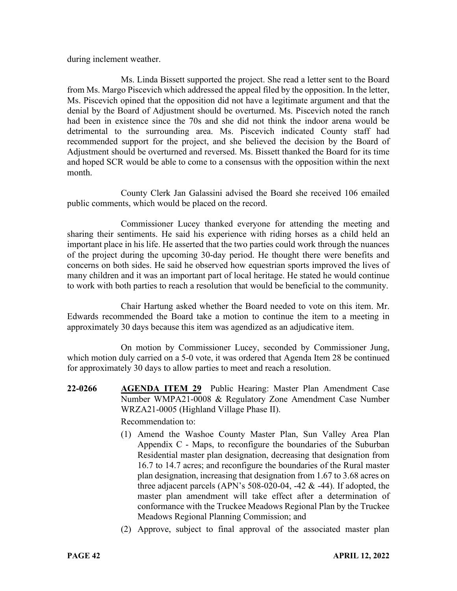during inclement weather.

Ms. Linda Bissett supported the project. She read a letter sent to the Board from Ms. Margo Piscevich which addressed the appeal filed by the opposition. In the letter, Ms. Piscevich opined that the opposition did not have a legitimate argument and that the denial by the Board of Adjustment should be overturned. Ms. Piscevich noted the ranch had been in existence since the 70s and she did not think the indoor arena would be detrimental to the surrounding area. Ms. Piscevich indicated County staff had recommended support for the project, and she believed the decision by the Board of Adjustment should be overturned and reversed. Ms. Bissett thanked the Board for its time and hoped SCR would be able to come to a consensus with the opposition within the next month.

County Clerk Jan Galassini advised the Board she received 106 emailed public comments, which would be placed on the record.

Commissioner Lucey thanked everyone for attending the meeting and sharing their sentiments. He said his experience with riding horses as a child held an important place in his life. He asserted that the two parties could work through the nuances of the project during the upcoming 30-day period. He thought there were benefits and concerns on both sides. He said he observed how equestrian sports improved the lives of many children and it was an important part of local heritage. He stated he would continue to work with both parties to reach a resolution that would be beneficial to the community.

Chair Hartung asked whether the Board needed to vote on this item. Mr. Edwards recommended the Board take a motion to continue the item to a meeting in approximately 30 days because this item was agendized as an adjudicative item.

On motion by Commissioner Lucey, seconded by Commissioner Jung, which motion duly carried on a 5-0 vote, it was ordered that Agenda Item 28 be continued for approximately 30 days to allow parties to meet and reach a resolution.

**22-0266 AGENDA ITEM 29** Public Hearing: Master Plan Amendment Case Number WMPA21-0008 & Regulatory Zone Amendment Case Number WRZA21-0005 (Highland Village Phase II).

Recommendation to:

- (1) Amend the Washoe County Master Plan, Sun Valley Area Plan Appendix C - Maps, to reconfigure the boundaries of the Suburban Residential master plan designation, decreasing that designation from 16.7 to 14.7 acres; and reconfigure the boundaries of the Rural master plan designation, increasing that designation from 1.67 to 3.68 acres on three adjacent parcels (APN's  $508-020-04$ ,  $-42 & 44$ ). If adopted, the master plan amendment will take effect after a determination of conformance with the Truckee Meadows Regional Plan by the Truckee Meadows Regional Planning Commission; and
- (2) Approve, subject to final approval of the associated master plan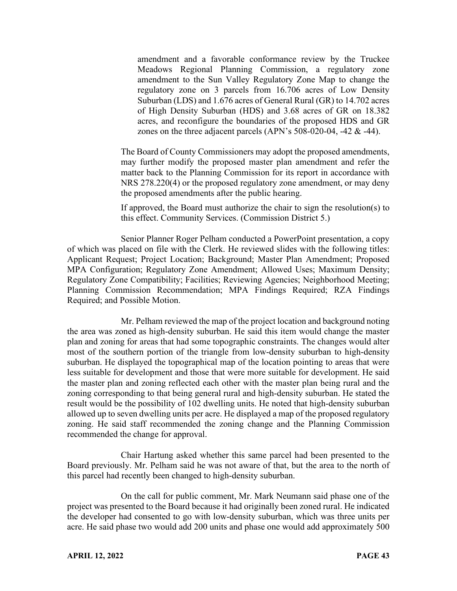amendment and a favorable conformance review by the Truckee Meadows Regional Planning Commission, a regulatory zone amendment to the Sun Valley Regulatory Zone Map to change the regulatory zone on 3 parcels from 16.706 acres of Low Density Suburban (LDS) and 1.676 acres of General Rural (GR) to 14.702 acres of High Density Suburban (HDS) and 3.68 acres of GR on 18.382 acres, and reconfigure the boundaries of the proposed HDS and GR zones on the three adjacent parcels (APN's 508-020-04, -42 & -44).

The Board of County Commissioners may adopt the proposed amendments, may further modify the proposed master plan amendment and refer the matter back to the Planning Commission for its report in accordance with NRS 278.220(4) or the proposed regulatory zone amendment, or may deny the proposed amendments after the public hearing.

If approved, the Board must authorize the chair to sign the resolution(s) to this effect. Community Services. (Commission District 5.)

Senior Planner Roger Pelham conducted a PowerPoint presentation, a copy of which was placed on file with the Clerk. He reviewed slides with the following titles: Applicant Request; Project Location; Background; Master Plan Amendment; Proposed MPA Configuration; Regulatory Zone Amendment; Allowed Uses; Maximum Density; Regulatory Zone Compatibility; Facilities; Reviewing Agencies; Neighborhood Meeting; Planning Commission Recommendation; MPA Findings Required; RZA Findings Required; and Possible Motion.

Mr. Pelham reviewed the map of the project location and background noting the area was zoned as high-density suburban. He said this item would change the master plan and zoning for areas that had some topographic constraints. The changes would alter most of the southern portion of the triangle from low-density suburban to high-density suburban. He displayed the topographical map of the location pointing to areas that were less suitable for development and those that were more suitable for development. He said the master plan and zoning reflected each other with the master plan being rural and the zoning corresponding to that being general rural and high-density suburban. He stated the result would be the possibility of 102 dwelling units. He noted that high-density suburban allowed up to seven dwelling units per acre. He displayed a map of the proposed regulatory zoning. He said staff recommended the zoning change and the Planning Commission recommended the change for approval.

Chair Hartung asked whether this same parcel had been presented to the Board previously. Mr. Pelham said he was not aware of that, but the area to the north of this parcel had recently been changed to high-density suburban.

On the call for public comment, Mr. Mark Neumann said phase one of the project was presented to the Board because it had originally been zoned rural. He indicated the developer had consented to go with low-density suburban, which was three units per acre. He said phase two would add 200 units and phase one would add approximately 500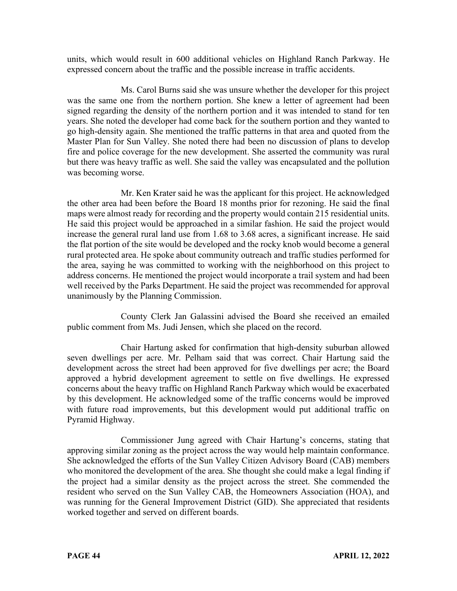units, which would result in 600 additional vehicles on Highland Ranch Parkway. He expressed concern about the traffic and the possible increase in traffic accidents.

Ms. Carol Burns said she was unsure whether the developer for this project was the same one from the northern portion. She knew a letter of agreement had been signed regarding the density of the northern portion and it was intended to stand for ten years. She noted the developer had come back for the southern portion and they wanted to go high-density again. She mentioned the traffic patterns in that area and quoted from the Master Plan for Sun Valley. She noted there had been no discussion of plans to develop fire and police coverage for the new development. She asserted the community was rural but there was heavy traffic as well. She said the valley was encapsulated and the pollution was becoming worse.

Mr. Ken Krater said he was the applicant for this project. He acknowledged the other area had been before the Board 18 months prior for rezoning. He said the final maps were almost ready for recording and the property would contain 215 residential units. He said this project would be approached in a similar fashion. He said the project would increase the general rural land use from 1.68 to 3.68 acres, a significant increase. He said the flat portion of the site would be developed and the rocky knob would become a general rural protected area. He spoke about community outreach and traffic studies performed for the area, saying he was committed to working with the neighborhood on this project to address concerns. He mentioned the project would incorporate a trail system and had been well received by the Parks Department. He said the project was recommended for approval unanimously by the Planning Commission.

County Clerk Jan Galassini advised the Board she received an emailed public comment from Ms. Judi Jensen, which she placed on the record.

Chair Hartung asked for confirmation that high-density suburban allowed seven dwellings per acre. Mr. Pelham said that was correct. Chair Hartung said the development across the street had been approved for five dwellings per acre; the Board approved a hybrid development agreement to settle on five dwellings. He expressed concerns about the heavy traffic on Highland Ranch Parkway which would be exacerbated by this development. He acknowledged some of the traffic concerns would be improved with future road improvements, but this development would put additional traffic on Pyramid Highway.

Commissioner Jung agreed with Chair Hartung's concerns, stating that approving similar zoning as the project across the way would help maintain conformance. She acknowledged the efforts of the Sun Valley Citizen Advisory Board (CAB) members who monitored the development of the area. She thought she could make a legal finding if the project had a similar density as the project across the street. She commended the resident who served on the Sun Valley CAB, the Homeowners Association (HOA), and was running for the General Improvement District (GID). She appreciated that residents worked together and served on different boards.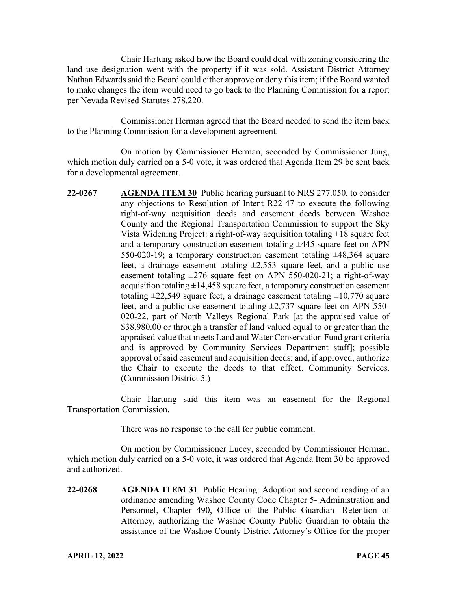Chair Hartung asked how the Board could deal with zoning considering the land use designation went with the property if it was sold. Assistant District Attorney Nathan Edwards said the Board could either approve or deny this item; if the Board wanted to make changes the item would need to go back to the Planning Commission for a report per Nevada Revised Statutes 278.220.

Commissioner Herman agreed that the Board needed to send the item back to the Planning Commission for a development agreement.

On motion by Commissioner Herman, seconded by Commissioner Jung, which motion duly carried on a 5-0 vote, it was ordered that Agenda Item 29 be sent back for a developmental agreement.

**22-0267 AGENDA ITEM 30** Public hearing pursuant to NRS 277.050, to consider any objections to Resolution of Intent R22-47 to execute the following right-of-way acquisition deeds and easement deeds between Washoe County and the Regional Transportation Commission to support the Sky Vista Widening Project: a right-of-way acquisition totaling  $\pm 18$  square feet and a temporary construction easement totaling ±445 square feet on APN 550-020-19; a temporary construction easement totaling  $\pm 48,364$  square feet, a drainage easement totaling  $\pm 2,553$  square feet, and a public use easement totaling  $\pm 276$  square feet on APN 550-020-21; a right-of-way acquisition totaling  $\pm 14,458$  square feet, a temporary construction easement totaling  $\pm 22,549$  square feet, a drainage easement totaling  $\pm 10,770$  square feet, and a public use easement totaling  $\pm 2,737$  square feet on APN 550-020-22, part of North Valleys Regional Park [at the appraised value of \$38,980.00 or through a transfer of land valued equal to or greater than the appraised value that meets Land and Water Conservation Fund grant criteria and is approved by Community Services Department staff]; possible approval of said easement and acquisition deeds; and, if approved, authorize the Chair to execute the deeds to that effect. Community Services. (Commission District 5.)

Chair Hartung said this item was an easement for the Regional Transportation Commission.

There was no response to the call for public comment.

On motion by Commissioner Lucey, seconded by Commissioner Herman, which motion duly carried on a 5-0 vote, it was ordered that Agenda Item 30 be approved and authorized.

**22-0268 AGENDA ITEM 31** Public Hearing: Adoption and second reading of an ordinance amending Washoe County Code Chapter 5- Administration and Personnel, Chapter 490, Office of the Public Guardian- Retention of Attorney, authorizing the Washoe County Public Guardian to obtain the assistance of the Washoe County District Attorney's Office for the proper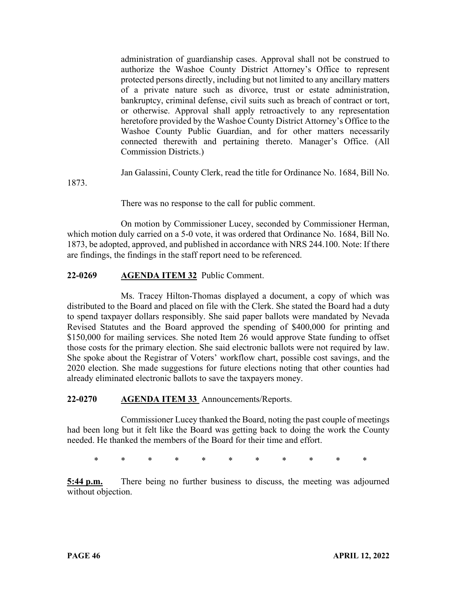administration of guardianship cases. Approval shall not be construed to authorize the Washoe County District Attorney's Office to represent protected persons directly, including but not limited to any ancillary matters of a private nature such as divorce, trust or estate administration, bankruptcy, criminal defense, civil suits such as breach of contract or tort, or otherwise. Approval shall apply retroactively to any representation heretofore provided by the Washoe County District Attorney's Office to the Washoe County Public Guardian, and for other matters necessarily connected therewith and pertaining thereto. Manager's Office. (All Commission Districts.)

Jan Galassini, County Clerk, read the title for Ordinance No. 1684, Bill No.

1873.

There was no response to the call for public comment.

On motion by Commissioner Lucey, seconded by Commissioner Herman, which motion duly carried on a 5-0 vote, it was ordered that Ordinance No. 1684, Bill No. 1873, be adopted, approved, and published in accordance with NRS 244.100. Note: If there are findings, the findings in the staff report need to be referenced.

# **22-0269 AGENDA ITEM 32** Public Comment.

Ms. Tracey Hilton-Thomas displayed a document, a copy of which was distributed to the Board and placed on file with the Clerk. She stated the Board had a duty to spend taxpayer dollars responsibly. She said paper ballots were mandated by Nevada Revised Statutes and the Board approved the spending of \$400,000 for printing and \$150,000 for mailing services. She noted Item 26 would approve State funding to offset those costs for the primary election. She said electronic ballots were not required by law. She spoke about the Registrar of Voters' workflow chart, possible cost savings, and the 2020 election. She made suggestions for future elections noting that other counties had already eliminated electronic ballots to save the taxpayers money.

### **22-0270 AGENDA ITEM 33** Announcements/Reports.

Commissioner Lucey thanked the Board, noting the past couple of meetings had been long but it felt like the Board was getting back to doing the work the County needed. He thanked the members of the Board for their time and effort.

\* \* \* \* \* \* \* \* \* \* \*

**5:44 p.m.** There being no further business to discuss, the meeting was adjourned without objection.